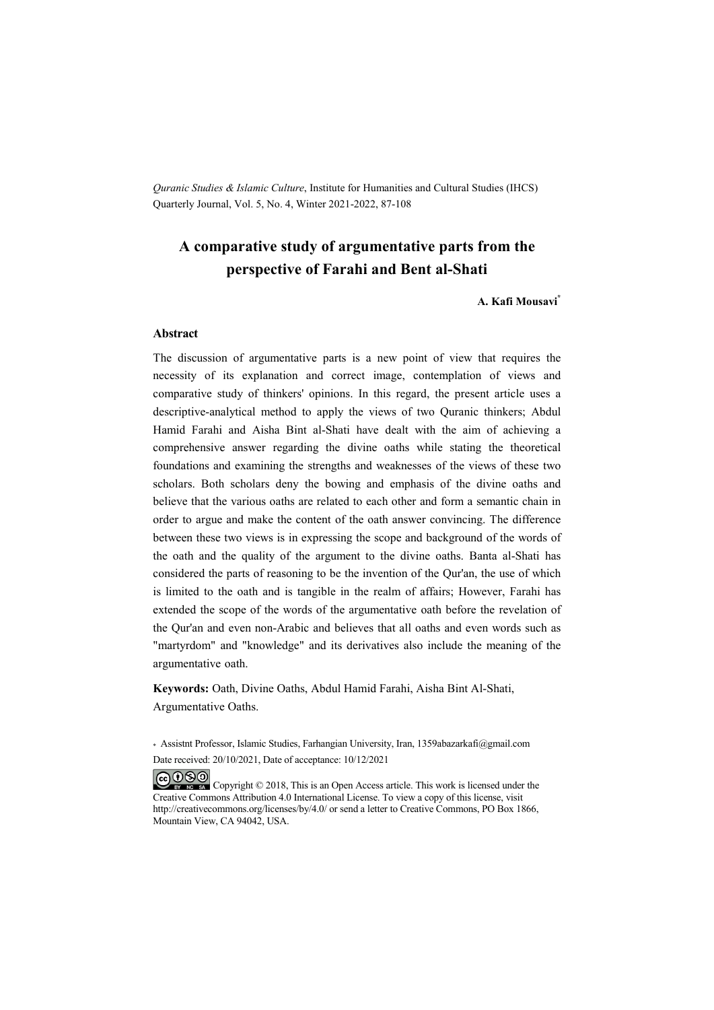*Quranic Studies & Islamic Culture*, Institute for Humanities and Cultural Studies (IHCS) Quarterly Journal, Vol. 5, No. 4, Winter 2021-2022, 87-108

### **A comparative study of argumentative parts from the perspective of Farahi and Bent al-Shati**

**A. Kafi Mousavi\***

#### **Abstract**

The discussion of argumentative parts is a new point of view that requires the necessity of its explanation and correct image, contemplation of views and comparative study of thinkers' opinions. In this regard, the present article uses a descriptive-analytical method to apply the views of two Quranic thinkers; Abdul Hamid Farahi and Aisha Bint al-Shati have dealt with the aim of achieving a comprehensive answer regarding the divine oaths while stating the theoretical foundations and examining the strengths and weaknesses of the views of these two scholars. Both scholars deny the bowing and emphasis of the divine oaths and believe that the various oaths are related to each other and form a semantic chain in order to argue and make the content of the oath answer convincing. The difference between these two views is in expressing the scope and background of the words of the oath and the quality of the argument to the divine oaths. Banta al-Shati has considered the parts of reasoning to be the invention of the Qur'an, the use of which is limited to the oath and is tangible in the realm of affairs; However, Farahi has extended the scope of the words of the argumentative oath before the revelation of the Qur'an and even non-Arabic and believes that all oaths and even words such as "martyrdom" and "knowledge" and its derivatives also include the meaning of the argumentative oath.

**Keywords:** Oath, Divine Oaths, Abdul Hamid Farahi, Aisha Bint Al-Shati, Argumentative Oaths.

\* Assistnt Professor, Islamic Studies, Farhangian University, Iran, 1359abazarkafi@gmail.com Date received: 20/10/2021, Date of acceptance: 10/12/2021

COOO Copyright © 2018, This is an Open Access article. This work is licensed under the Creative Commons Attribution 4.0 International License. To view a copy of this license, visit http://creativecommons.org/licenses/by/4.0/ or send a letter to Creative Commons, PO Box 1866, Mountain View, CA 94042, USA.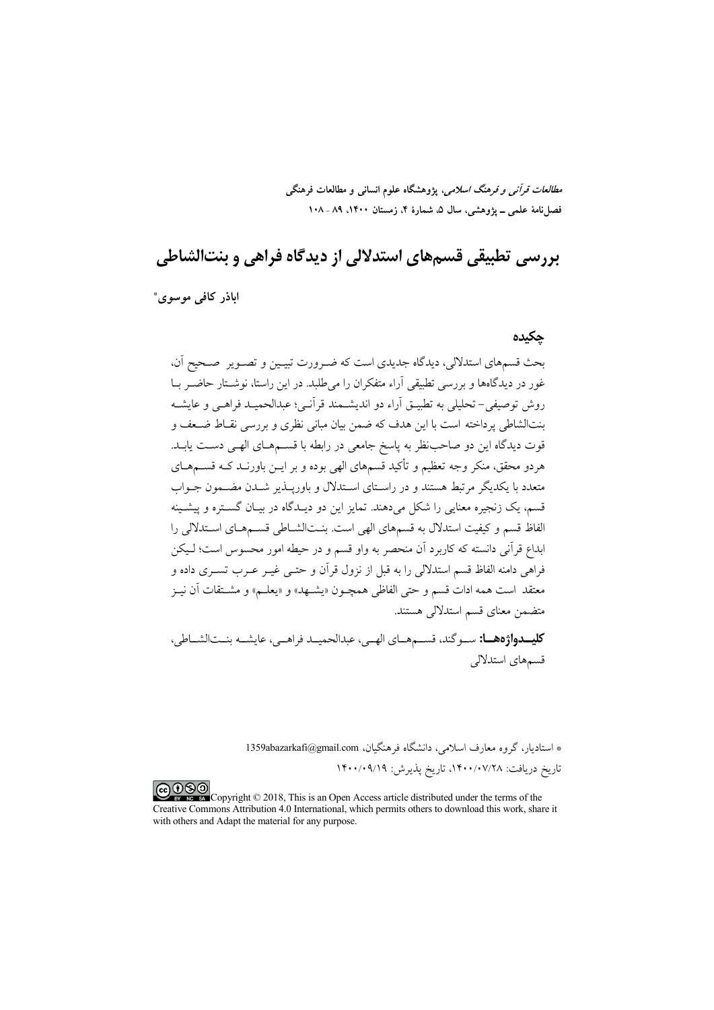*مطالعات قرآنی و فرهنگ اسلامی*، پژوهشگاه علوم انسانی و مطالعات فرهنگی فصل نامهٔ علمی ــ پژوهشی، سال ۵، شمارهٔ ۴، زمستان ۱۴۰۰. ۸۹ ـ ۱۰۸

بررسی تطبیقی قسمهای استدلالی از دیدگاه فراهی و بنتالشاطی

اباذر كافي موسوى\*

### حكىدە

بحث قسمهای استدلالی، دیدگاه جدیدی است که ضـرورت تبیـین و تصـویر مصـحیح آن، غور در دیدگاهها و بررسی تطبیقی آراء متفکران را می طلبد. در این راستا، نوشـتار حاضـر بـا روش توصيفي–تحليلي به تطبيــق اَراء دو انديشــمند قراَنــي؛ عبدالحميــد فراهــي و عايشــه بنتالشاطی پرداخته است با این هدف که ضمن بیان مبانی نظری و بررسی نقـاط ضـعف و .<br>قوت دیدگاه این دو صاحب نظر به پاسخ جامعی در رابطه با قســمهــای الهــی دســت یابــد. هردو محقق، منکر وجه تعظیم و تأکید قسمهای الهی بوده و بر ایــن باورنــد کــه قســـمهــای متعدد با یکدیگر مرتبط هستند و در راسـتای اسـتدلال و باوریــذیر شــدن مضــمون جــواب قسم، یک زنجیره معنایی را شکل می دهند. تمایز این دو دیـدگاه در بیـان گســتره و پیشــینه الفاظ قسم و کیفیت استدلال به قسمهای الهی است. بنـتالشـاطی قسـمهـای اسـتدلالی را .<br>ابداع قرآنی دانسته که کاربرد آن منحصر به واو قسم و در حیطه امور محسوس است؛ لـبکن .<br>فراهی دامنه الفاظ قسم استدلالی را به قبل از نزول قرآن و حتــی غیــر عــرب تســری داده و معتقد است همه ادات قسم و حتى الفاظى همچـون «يشـهد» و «يعلـم» و مشــتقات آن نيــز متضمن معناي قسم استدلالي هستند.

**كليسدواژه هسا:** سيوگند، قسيم هياي الهي، عبدالحمييد فراهيي، عايشيه بنيتالشياطي، قسمهای استدلالی

> \* استادیار، گروه معارف اسلامی، دانشگاه فرهنگیان، 1359abazarkafi@gmail.com تاريخ دريافت: ١۴٠٠/٠٧/٢٨، تاريخ پذيرش: ١۴٠٠/٠٩/١٩

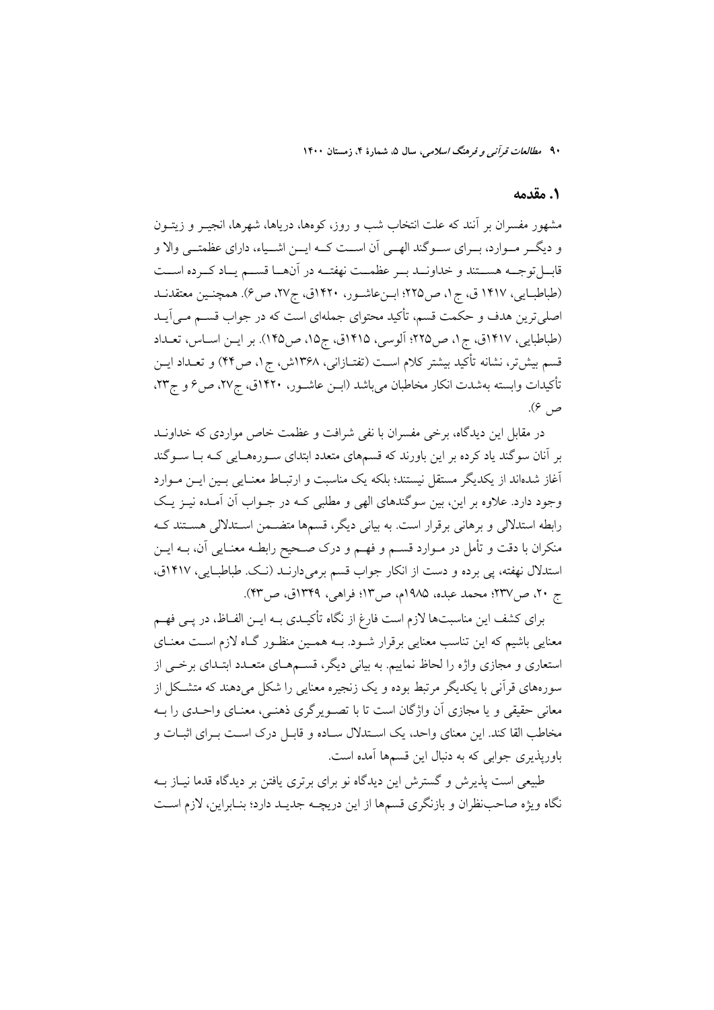۹۰ م*طالعات قو آن<sub>ه ،</sub> و فرهنگ اسلامی*، سال ۵، شمارهٔ ۴، زمستان ۱۴۰۰

#### ١. مقدمه

مشهور مفسران بر آنند که علت انتخاب شب و روز، کومها، دریاها، شهرها، انجیــر و زیتــون و دیگــر مــوارد، بــرای ســوگند الهــی آن اســت کــه ایــن اشــیاء، دارای عظمتــی والا و قابسل توجسه هسستند و خداونسد بسر عظمست نهفتسه در آنهسا قسسم يساد كسرده اسست (طباطبـايي، ١۴١٧ ق، ج١، ص٢٢٥؛ ابـنعاشـور، ١۴٢٠ق، ج٢٧، ص٤). همچنـين معتقدنـد اصلیترین هدف و حکمت قسم، تأکید محتوای جملهای است که در جواب قسم مـی آیــد (طباطبايي، ١٤١٧ق، ج١، ص٢٢٥؛ اَلوسي، ١٩١٥ق، ج١٥، ص١٢٥). بر ايـن اسـاس، تعـداد قسم بیشتر، نشانه تأکید بیشتر کلام است (تفتـازانی، ۱۳۶۸ش، ج۱، ص۴۴) و تعــداد ایــن تأكيدات وابسته بهشدت انكار مخاطبان مىباشد (ابــن عاشــور، ١۴٢٠ق، ج٢٧، ص۶ و ج٢٣، ص ۴).

در مقابل این دیدگاه، برخی مفسران با نفی شرافت و عظمت خاص مواردی که خداونـد بر آنان سوگند یاد کرده بر این باورند که قسمهای متعدد ابتدای سـورههـایی کـه بـا سـوگند آغاز شدهاند از یکدیگر مستقل نیستند؛ بلکه یک مناسبت و ارتبـاط معنـایی بـین ایـن مـوارد وجود دارد. علاوه بر این، بین سوگندهای الهی و مطلبی کـه در جـواب آن آمـده نیـز یـک رابطه استدلالی و برهانی برقرار است. به بیانی دیگر، قسمها متضــمن اســتدلالی هســتند کــه منکران با دقت و تأمل در مـوارد قســم و فهــم و درک صــحیح رابطــه معنــایی آن، بــه ایــن استدلال نهفته، پی برده و دست از انکار جواب قسم برمیدارنـد (نـک. طباطبـایی، ۱۴۱۷ق، ج ٢٠، ص٣٢٧؛ محمد عبده، ١٩٨٥م، ص١٣: فراهي، ١٣٣٩ق، ص٣٣).

برای کشف این مناسبتها لازم است فارغ از نگاه تأکیـدی بــه ایــن الفــاظ، در پــی فهــم معنایی باشیم که این تناسب معنایی برقرار شـود. بــه همـین منظـور گــاه لازم اســت معنــای استعاری و مجازی واژه را لحاظ نماییم. به بیانی دیگر، قســمهـای متعــدد ابتــدای برخــی از سورههای قرآنی با یکدیگر مرتبط بوده و یک زنجیره معنایی را شکل میدهند که متشکل از معانی حقیقی و یا مجازی اَن واژگان است تا با تصـویرگری ذهنـی، معنـای واحـدی را بــه مخاطب القا کند. این معنای واحد، یک اسـتدلال سـاده و قابـل درک اسـت بـرای اثبـات و باوریذیری جوابی که به دنبال این قسمها آمده است.

طبیعی است پذیرش و گسترش این دیدگاه نو برای برتری یافتن بر دیدگاه قدما نیــاز بــه نگاه ویژه صاحب نظران و بازنگری قسمها از این دریچـه جدیـد دارد؛ بنـابراین، لازم اسـت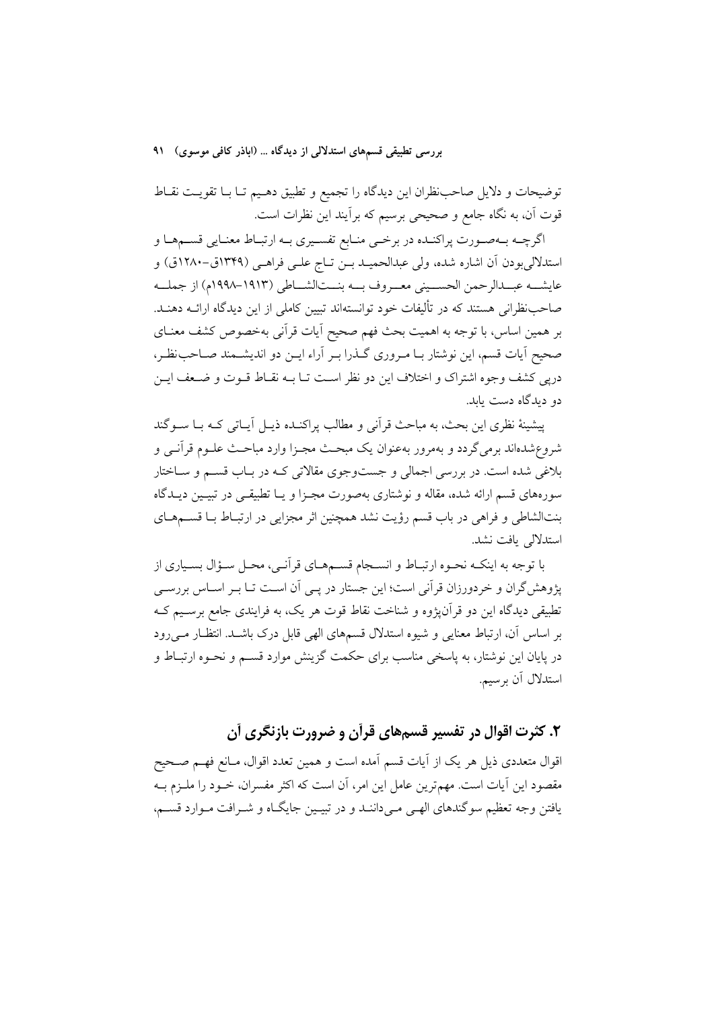توضیحات و دلایل صاحب نظران این دیدگاه را تجمیع و تطبیق دهـیم تـا بـا تقویـت نقـاط قوت آن، به نگاه جامع و صحیحی برسیم که برآیند این نظرات است.

اگرچـه بـهصـورت پراکنـده در برخـي منـابع تفسـيري بـه ارتبـاط معنـايي قسـمهـا و استدلالی بودن آن اشاره شده، ولی عبدالحمیـد بــن تــاج علــی فراهــی (۱۳۴۹ق-۱۲۸۰ق) و عايشــه عبــدالرحمن الحســيني معــروف بــه بنــتالشــاطي (١٩١٣-١٩٩٨م) از جملــه صاحب نظرانی هستند که در تألیفات خود توانستهاند تبیین کاملی از این دیدگاه ارائــه دهنــد. بر همین اساس، با توجه به اهمیت بحث فهم صحیح آیات قرآنی بهخصوص کشف معنـای صحیح آیات قسم، این نوشتار بـا مـروری گــذرا بـر آراء ایــن دو اندیشــمند صـاحب:ظـر، دریی کشف وجوه اشتراک و اختلاف این دو نظر است تــا بــه نقــاط قــوت و ضــعف ایــن دو دېدگاه دست بابد.

ييشينهٔ نظري اين بحث، به مباحث قرأني و مطالب پراکنـده ذيـل أيـاتي کـه بـا ســوگند شروع شدهاند برمي گردد و بهمرور بهعنوان يک مبحـث مجـزا وارد مباحـث علــوم قرآنــي و بلاغی شده است. در بررسی اجمالی و جستوجوی مقالاتی کـه در بـاب قســم و ســاختار سورههای قسم ارائه شده، مقاله و نوشتاری بهصورت مجـزا و یــا تطبیقــی در تبیــین دیــدگاه بنتالشاطی و فراهی در باب قسم رؤیت نشد همچنین اثر مجزایی در ارتبـاط بــا قســمهــای استدلالی بافت نشد.

با توجه به اینکـه نحـوه ارتبـاط و انسـجام قسـمهـاي قرآنـي، محـل سـؤال بسـياري از پژوهش گران و خردورزان قرآنی است؛ این جستار در پـی اَن اسـت تــا بــر اســاس بررســی تطبیقی دیدگاه این دو قرآن،ژوه و شناخت نقاط قوت هر یک، به فرایندی جامع برسـیم کـه بر اساس أن، ارتباط معنایی و شیوه استدلال قسمهای الهی قابل درک باشــد. انتظــار مــی(ود در پایان این نوشتار، به پاسخی مناسب برای حکمت گزینش موارد قســم و نحــوه ارتبــاط و استدلال آن برسیم.

# ۲. کثرت اقوال در تفسیر قسمهای قرآن و ضرورت بازنگری آن

اقوال متعددی ذیل هر یک از آیات قسم آمده است و همین تعدد اقوال، مـانع فهـم صـحیح مقصود این آیات است. مهمترین عامل این امر، آن است که اکثر مفسران، خــود را ملــزم بــه یافتن وجه تعظیم سوگندهای الهـی مـیداننـد و در تبیـین جایگـاه و شـرافت مـوارد قسـم،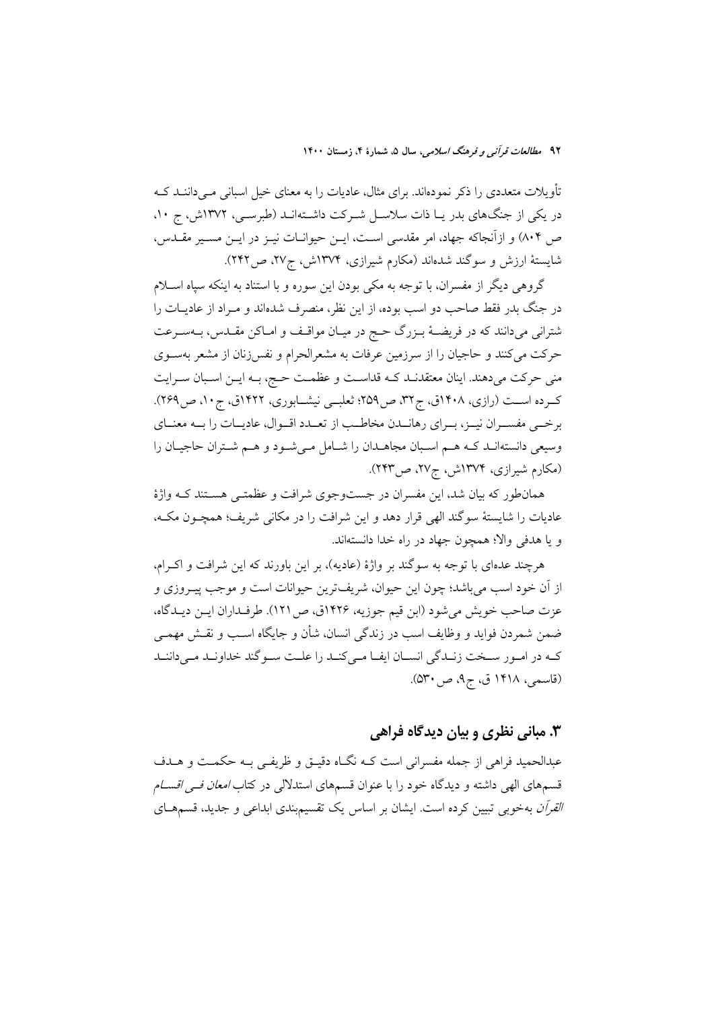تأویلات متعددی را ذکر نمودهاند. برای مثال، عادیات را به معنای خیل اسبانی مـیداننــد کــه در یکی از جنگهای بدر یا ذات سلاسل شـرکت داشـتهانـد (طبرسـی، ١٣٧٢ش، ج ١٠، ص ۸۰۴) و ازآنجاکه جهاد، امر مقدسی است، ایـن حیوانـات نیـز در ایـن مسـیر مقـدس، شایستهٔ ارزش و سوگند شدهاند (مکارم شیرازی، ۱۳۷۴ش، ج۲۷، ص۲۲۲).

گروهی دیگر از مفسران، با توجه به مکی بودن این سوره و با استناد به اینکه سپاه اسـلام در جنگ بدر فقط صاحب دو اسب بوده، از این نظر، منصرف شدهاند و مـراد از عادیــات را شتراني ميدانند كه در فريضـهٔ بـزرگ حـج در ميـان مواقـف و امـاكن مقـدس، بـهسـرعت حرکت میکنند و حاجیان را از سرزمین عرفات به مشعرالحرام و نفس زنان از مشعر بهسـوی منی حرکت میدهند. اینان معتقدنـد کـه قداسـت و عظمـت حـج، بـه ایـن اسـبان سـرایت کرده است (رازی، ۱۴۰۸ق، ج۳۲، ص۲۵۹؛ ثعلبی نیشـابوری، ۱۴۲۲ق، ج۱۰، ص۲۶۹). برخمي مفسـران نيـز، بـراي رهانـدن مخاطـب از تعـدد اقـوال، عاديـات را بـه معنـاي وسیعی دانستهانـد کـه هـم اسـبان مجاهـدان را شـامل مـیشـود و هـم شـتران حاجیـان را (مکارم شیرازی، ۱۳۷۴ش، ج۲۷، ص۲۴۳).

همانطور که بیان شد، این مفسران در جستوجوی شرافت و عظمتـی هسـتند کـه واژهٔ عاديات را شايستهٔ سوگند الهي قرار دهد و اين شرافت را در مكاني شريف؛ همچـون مكـه، و يا هدفي والا؛ همجون جهاد در راه خدا دانستهاند.

هرچند عدهای با توجه به سوگند بر واژهٔ (عادیه)، بر این باورند که این شرافت و اکـرام، از أن خود اسب مي باشد؛ چون اين حيوان، شريفترين حيوانات است و موجب پيـروزي و عزت صاحب خويش مي شود (ابن قيم جوزيه، ١٤٢۶ق، ص ١٢١). طرفـداران ايــن ديــدگاه، ضمن شمردن فوايد و وظايف اسب در زندگي انسان، شأن و جايگاه اسـب و نقـش مهمـي کـه در امـور سـخت زنـدگي انسـان ايفـا مـيكنـد را علـت سـوگند خداونـد مـيداننـد (قاسمی، ۱۴۱۸ ق، ج۹، ص۳۰).

# ۳. مبانی نظری و بیان دیدگاه فراهی

عبدالحميد فراهي از جمله مفسراني است كـه نگـاه دقيـق و ظريفـي بـه حكمـت و هــدف قسمهای الهی داشته و دیدگاه خود را با عنوان قسمهای استدلالی در کتاب *امعان ف<sub>سی</sub> اقسـام القرآن* بهخوبی تبیین کرده است. ایشان بر اساس یک تقسیم.بندی ابداعی و جدید، قسمهــای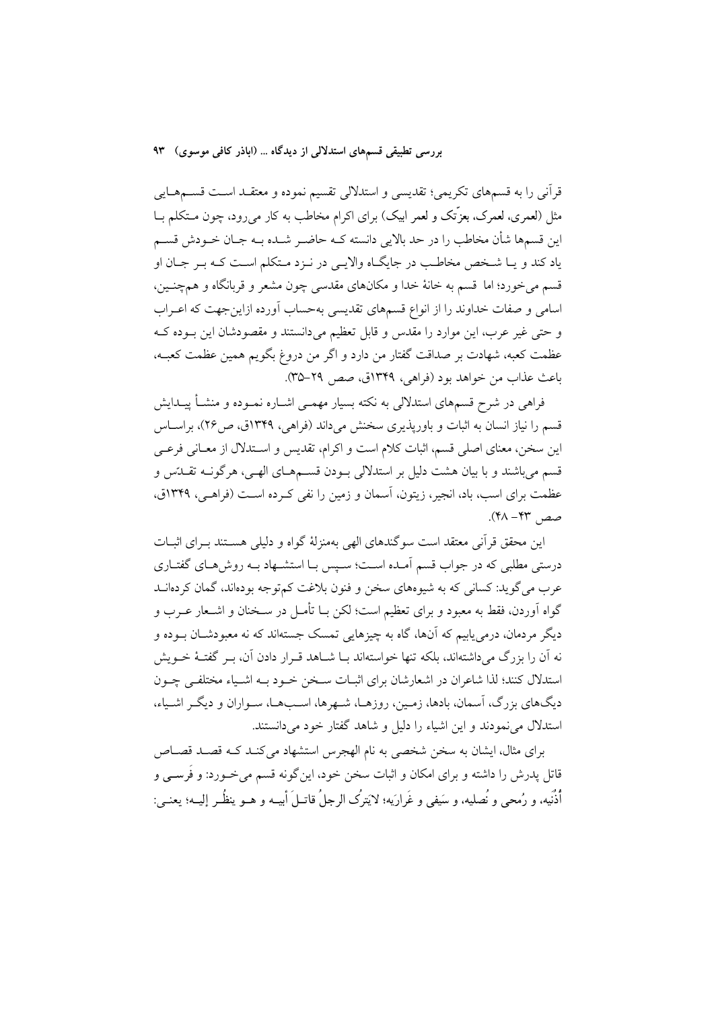قرآنی را به قسمهای تکریمی؛ تقدیسی و استدلالی تقسیم نموده و معتقـد اسـت قســمهــایی مثل (لعمری، لعمرک، بعزَّتک و لعمر ابیک) برای اکرام مخاطب به کار می رود، چون مـتکلم بــا این قسمها شأن مخاطب را در حد بالایی دانسته کـه حاضـر شـده بـه جـان خـودش قسـم یاد کند و یـا شـخص مخاطـب در جایگـاه والایـی در نـزد مـتکلم اسـت کـه بـر جـان او قسم مي خورد؛ اما قسم به خانهٔ خدا و مکانهاي مقدسي چون مشعر و قربانگاه و همچنــين، اسامی و صفات خداوند را از انواع قسمهای تقدیسی بهحساب آورده ازاین جهت که اعـراب و حتى غير عرب، اين موارد را مقدس و قابل تعظيم مى دانستند و مقصودشان اين بـوده كـه عظمت كعبه، شهادت بر صداقت گفتار من دارد و اگر من دروغ بگویم همین عظمت كعبـه، باعث عذاب من خواهد بود (فراهي، ١٣۴٩ق، صص ٢٩-٣۵).

فراهی در شرح قسمهای استدلالی به نکته بسیار مهمـی اشـاره نمـوده و منشـأ پیـدایش قسم را نیاز انسان به اثبات و باورپذیری سخنش میداند (فراهی، ۱۳۴۹ق، ص۲۶)، براســاس این سخن، معنای اصلی قسم، اثبات کلام است و اکرام، تقدیس و اسـتدلال از معـانی فرعـی قسم میباشند و با بیان هشت دلیل بر استدلالی بـودن قسـمهـای الهـی، هرگونـه تقــدّس و عظمت برای اسب، باد، انجیر، زیتون، آسمان و زمین را نفی کـرده اسـت (فراهـی، ۱۳۴۹ق،  $A + B$ صص

این محقق قرآنی معتقد است سوگندهای الهی بهمنزلهٔ گواه و دلیلی هسـتند بـرای اثبـات درستی مطلبی که در جواب قسم آمـده اسـت؛ سـیس بـا استشــهاد بــه روش۵هــای گفتــاری عرب مي گويد: کساني که به شيوههاي سخن و فنون بلاغت کم توجه بودهاند، گمان کردهانـد گواه آوردن، فقط به معبود و برای تعظیم است؛ لکن بــا تأمــل در ســخنان و اشــعار عــرب و دیگر مردمان، درمی،یابیم که آنها، گاه به چیزهایی تمسک جستهاند که نه معبودشــان بــوده و نه آن را بزرگ میداشتهاند، بلکه تنها خواستهاند بـا شــاهد قــرار دادن آن، بــر گفتــهٔ خــویش استدلال کنند؛ لذا شاعران در اشعارشان برای اثبـات سـخن خـود بـه اشـياء مختلفـي چـون دیگهای بزرگ، آسمان، بادها، زمـین، روزهـا، شـهرها، اسـبهـا، سـواران و دیگـر اشـیاء، استدلال می نمودند و این اشیاء را دلیل و شاهد گفتار خود می دانستند.

برای مثال، ایشان به سخن شخصی به نام الهجرس استشهاد می کنـد کـه قصـد قصـاص قاتل پدرش را داشته و برای امکان و اثبات سخن خود، این گونه قسم می خـورد: و فَرســی و أُنْهُه، و رُمحي و نُصليه، و سَيفي و غَرارَيه؛ لا يَترِكُ الرجلُ قاتبلَ أيسه و هـو ينظُـر إليـه؛ بعنبي: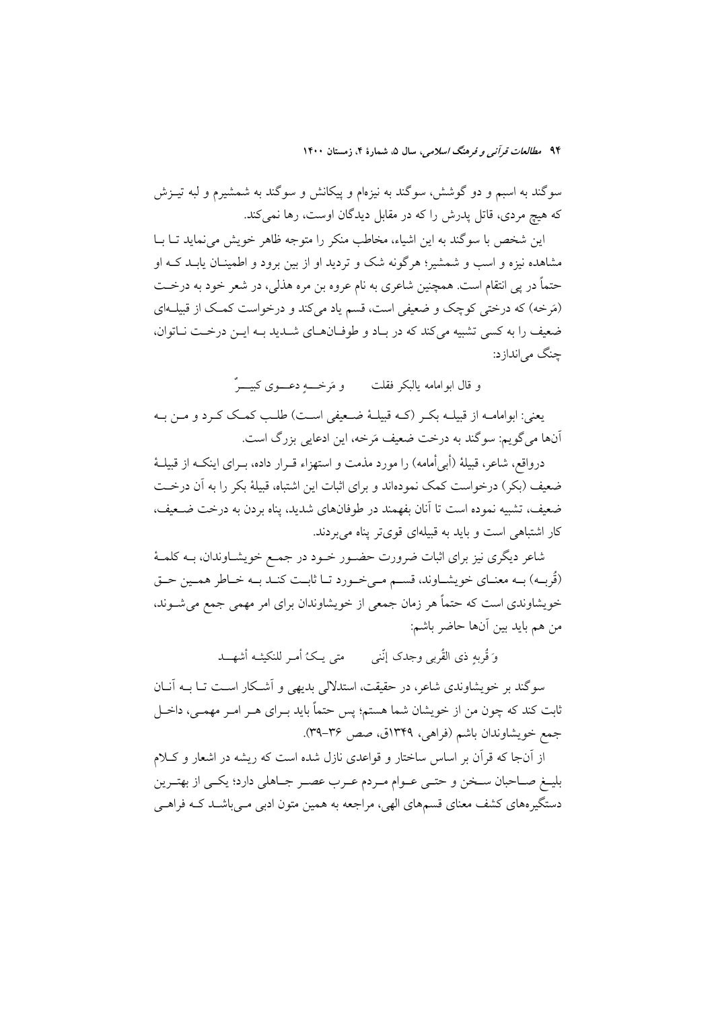۹۴ م*طالعات قرآن<sub>ه، و</sub> فرهنگ اسلامی،* سال ۵، شمارهٔ ۴، زمستان ۱۴۰۰

سوگند به اسبم و دو گوشش، سوگند به نیزمام و پیکانش و سوگند به شمشیرم و لبه تیــزش که هیچ مردی، قاتل پدرش را که در مقابل دیدگان اوست، رها نمی کند.

این شخص با سو گند به این اشیاء، مخاطب منکر را متوجه ظاهر خویش می نماید تبا بیا مشاهده نیزه و اسب و شمشیر؛ هرگونه شک و تردید او از بین برود و اطمینـان یابـد کــه او حتماً در پی انتقام است. همچنین شاعری به نام عروه بن مره هذلی، در شعر خود به درخــت (مَرخه) که درختی کوچک و ضعیفی است، قسم یاد میکند و درخواست کمک از قبیلــهای ضعيف را به كسى تشبيه مى كند كه در باد و طوفان هاى شديد بـه ايـن درخـت نـاتوان، چنگ می اندازد:

و قال ابوامامه يالبكر فقلت و مَرخــــه دعــــوى كبيــــرٌ

يعني: ابوامامــه از قبيلــه بكــر (كــه قبيلــهٔ ضــعيفي اســت) طلــب كمــك كــرد و مــن بــه اّنها می گویم: سوگند به درخت ضعیف مَرخه، این ادعایی بزرگ است.

درواقع، شاعر، قبیلهٔ (أبی أمامه) را مورد مذمت و استهزاء قــرار داده، بــرای اینکــه از قبیلــهٔ ضعیف (بکر ) درخواست کمک نمودهاند و برای اثبات این اشتباه، قبیلهٔ بکر را به آن درخــت ضعيف، تشبيه نموده است تا آنان بفهمند در طوفانهاي شديد، يناه بردن به درخت ضـعيف، کار اشتباهی است و باید به قبیلهای قویتر پناه می بردند.

شاعر دیگری نیز برای اثبات ضرورت حضـور خـود در جمـع خویشـاوندان، بــه کلمــهٔ (قُربِـه) بـه معنـاي خويشـاوند، قسـم مـيخـورد تـا ثابـت كنـد بـه خـاطر همـين حـق خویشاوندی است که حتماً هر زمان جمعی از خویشاوندان برای امر مهمی جمع میشـوند، من هم بايد بين أنها حاضر باشم:

وَ قُرِيهِ ذي القُرِيبِ وجِدِكِ إِنَّنِي ۚ مِتِي يِكِ ۗ أَمِي للنكِيثِ الشَّهِيبِـدِ

سوگند بر خویشاوندی شاعر، در حقیقت، استدلالی بدیهی و اَشـکار اسـت تـا بــه اَنــان ثابت کند که چون من از خویشان شما هستم؛ پس حتماً باید بــرای هــر امــر مهمــی، داخــل جمع خويشاوندان باشم (فراهي، ١٣۴٩ق، صص ٣٤-٣٩).

از آنجا که قرآن بر اساس ساختار و قواعدی نازل شده است که ریشه در اشعار و کـلام بليــغ صــاحبان ســخن و حتــي عــوام مــردم عــرب عصــر جــاهلي دارد؛ يكــي از بهتــرين دستگیرههای کشف معنای قسمهای الهی، مراجعه به همین متون ادبی مـیباشــد کــه فراهــی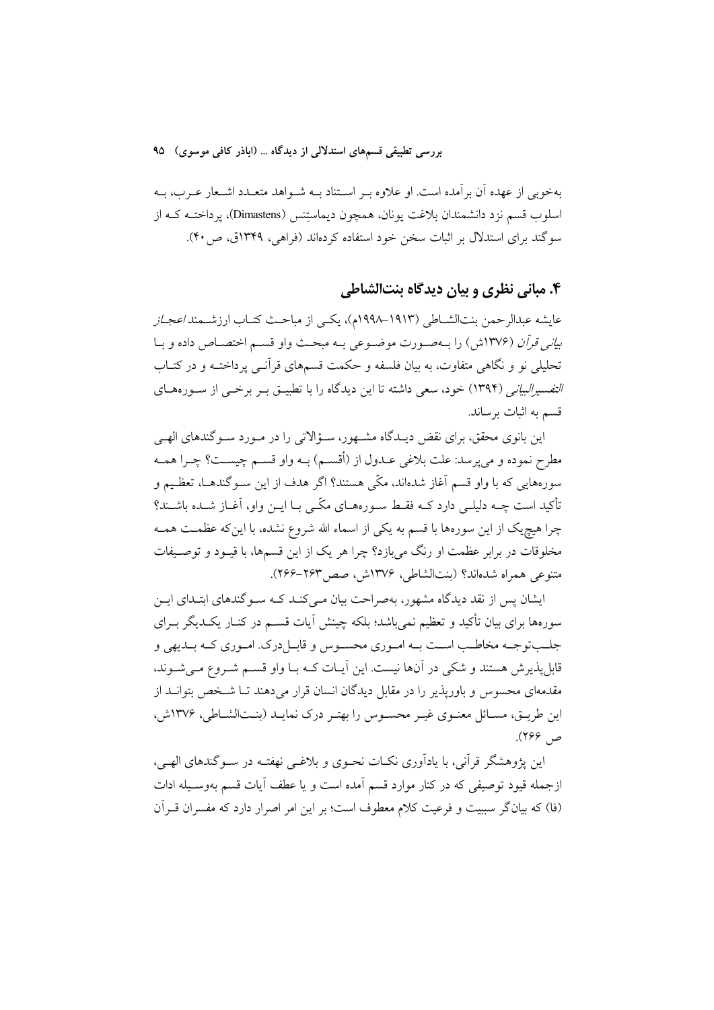بهخوبی از عهده آن بر آمده است. او علاوه بـر اسـتناد بـه شـواهد متعـدد اشـعار عـرب، بـه اسلوب قسم نزد دانشمندان بلاغت یونان، همچون دیماستِنس (Dimastens)، یرداختــه کــه از سوگند برای استدلال بر اثبات سخن خود استفاده کردهاند (فراهی، ۱۳۴۹ق، ص ۴۰).

### ۴. مباني نظري و بيان ديدگاه بنتالشاطي

عايشه عبدالرحمن بنتالشــاطي (١٩١٣–١٩٩٨م)، يكــي از مباحــث كتــاب ارزشــمند/عجــ*از* ب*ياني قرآن (*١٣٧۶ش) را بــهصـورت موضــوعي بــه مبحــث واو قســم اختصــاص داده و بــا تحلیلی نو و نگاهی متفاوت، به بیان فلسفه و حکمت قسمهای قرآنـی پرداختـه و در کتـاب *التفسیرالبیانی (*۱۳۹۴) خود، سعی داشته تا این دیدگاه را با تطبیــق بــر برخــی از ســورههــای قسم به اثبات برساند.

این بانوی محقق، برای نقض دیـدگاه مشـهور، سـؤالاتی را در مـورد سـوگندهای الهـی مطرح نموده و مي يرسد: علت بلاغي عـدول از (أقسـم) بـه واو قسـم چيسـت؟ چـرا همـه سورههایی که با واو قسم آغاز شدهاند، مکّی هستند؟ اگر هدف از این ســوگندهــا، تعظـیم و تأکید است چــه دلیلــی دارد کــه فقــط ســورههــای مکّــی بــا ایــن واو، آغــاز شــده باشــند؟ چرا هیچیک از این سورهها با قسم به یکی از اسماء الله شروع نشده، با اینکه عظمـت همـه مخلوقات در برابر عظمت او رنگ میبازد؟ چرا هر یک از این قسمها، با قیـود و توصـیفات متنوعي همراه شدهاند؟ (بنتالشاطي، ١٣٧۶ش، صص ٢۶٣-٢۶۶).

ایشان پس از نقد دیدگاه مشهور، بهصراحت بیان مے کنـد کـه سـو گندهای ابتـدای ایـن سورهها برای بیان تأکید و تعظیم نمی باشد؛ بلکه چینش آیات قســم در کنــار یکــدیگر بــرای جلبتوجـه مخاطـب اسـت بـه امـوري محسـوس و قابـل درک. امـوري کـه بـديهي و قابلپذیرش هستند و شکی در آنها نیست. این آیـات کـه بـا واو قســم شــروع مــیشــوند، مقدمهای محسوس و باورپذیر را در مقابل دیدگان انسان قرار میدهند تـا شـخص بتوانــد از این طریـق، مسـائل معنـوی غیـر محسـوس را بهتـر درک نمایـد (بنـتالشـاطی، ۱۳۷۶ش، ص ۲۶۶).

این پژوهشگر قرآنی، با یادآوری نکـات نحـوی و بلاغـی نهفتـه در سـوگندهای الهـی، ازجمله قیود توصیفی که در کنار موارد قسم آمده است و یا عطف آیات قسم بهوسـیله ادات (فا) كه بيانگر سببيت و فرعيت كلام معطوف است؛ بر اين امر اصرار دارد كه مفسران قــرآن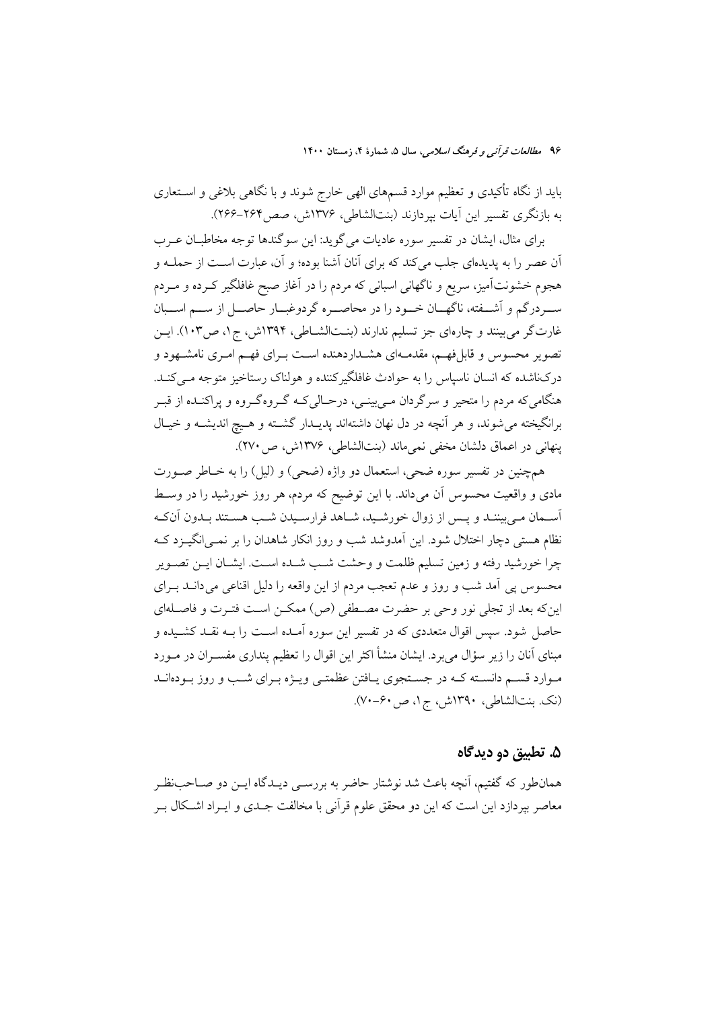باید از نگاه تأکیدی و تعظیم موارد قسمهای الهی خارج شوند و با نگاهی بلاغی و اســتعاری به بازنگری تفسیر این آیات بیردازند (بنتالشاطی، ۱۳۷۶ش، صص۲۶۴–۲۶۶).

برای مثال، ایشان در تفسیر سوره عادیات می گوید: این سوگندها توجه مخاطبـان عــرب اّن عصر را به پدیدهای جلب میکند که برای اّنان اَشنا بوده؛ و اّن، عبارت اسـت از حملــه و هجوم خشونتآمیز، سریع و ناگهانی اسبانی که مردم را در آغاز صبح غافلگیر کــرده و مــردم ســردرگم و آشــفته، ناگهــان خــود را در محاصــره گردوغبــار حاصــل از ســم اســبان غارتگر می بینند و چارهای جز تسلیم ندارند (بنــتالشــاطی، ۱۳۹۴ش، ج۱، ص۱۰۳). ایــن تصویر محسوس و قابلفهم، مقدمـهای هشـداردهنده اسـت بـرای فهـم امـری نامشـهود و درکناشده که انسان ناسیاس را به حوادث غافلگیرکننده و هولناک رستاخیز متوجه مبی کنـد. هنگامی که مردم را متحیر و سرگردان مے بینے، درحـالی کـه گـروهگـروه و پراکنــده از قبــر برانگیخته می شوند، و هر آنچه در دل نهان داشتهاند پدیـدار گشـته و هـیچ اندیشـه و خیـال ينهاني در اعماق دلشان مخفى نمي ماند (بنتالشاطي، ١٣٧۶ش، ص ٢٧٠).

همچنین در تفسیر سوره ضحی، استعمال دو واژه (ضحی) و (لیل) را به خـاطر صـورت مادی و واقعیت محسوس آن میداند. با این توضیح که مردم، هر روز خورشید را در وسط اسـمان مـي بيننـد و يـس از زوال خورشـيد، شـاهد فرارسـيدن شـب هسـتند بـدون اَنكـه نظام هستی دچار اختلال شود. این اَمدوشد شب و روز انکار شاهدان را بر نمـی|نگیــزد کــه چرا خورشید رفته و زمین تسلیم ظلمت و وحشت شـب شـده اسـت. ایشـان ایــن تصــویر محسوس پی آمد شب و روز و عدم تعجب مردم از این واقعه را دلیل اقناعی میدانــد بــرای اینکه بعد از تجلی نور وحی بر حضرت مصـطفی (ص) ممکــن اسـت فتـرت و فاصـلهای حاصل شود. سپس اقوال متعددي كه در تفسير اين سوره آمـده اسـت را بــه نقـد كشـيده و مبنای آنان را زیر سؤال می برد. ایشان منشأ اکثر این اقوال را تعظیم پنداری مفسـران در مــورد مـوارد قسـم دانسـته كـه در جسـتجوى يـافتن عظمتـي ويـژه بـراي شـب و روز بـودهانـد (نک. بنتالشاطی، ۱۳۹۰ش، ج۱، ص ۶۰-۷۰).

### ۵. تطبيق دو ديدگاه

همانطور که گفتیم، آنچه باعث شد نوشتار حاضر به بررســی دیــدگاه ایــن دو صــاحب:ظــر معاصر بيردازد اين است كه اين دو محقق علوم قرآني با مخالفت جــدي و ايــراد اشــكال بــر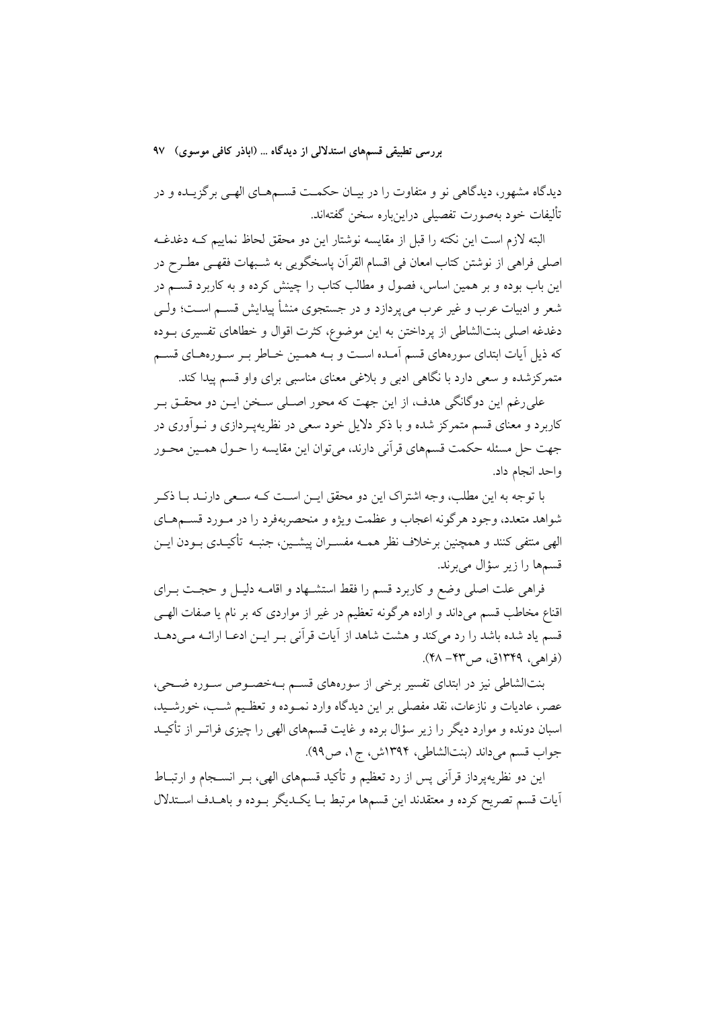دیدگاه مشهور، دیدگاهی نو و متفاوت را در بیـان حکمـت قســمهـای الهـی برگزیــده و در تأليفات خود بهصورت تفصيلي دراينباره سخن گفتهاند.

البته لازم است این نکته را قبل از مقایسه نوشتار این دو محقق لحاظ نماییم کــه دغدغــه اصلي فراهي از نوشتن كتاب امعان في اقسام القرآن ياسخگويي به شـبهات فقهـي مطـرح در این باب بوده و بر همین اساس، فصول و مطالب کتاب را چینش کرده و به کاربرد قســم در شعر و ادبیات عرب و غیر عرب می یردازد و در جستجوی منشأ پیدایش قســم اسـت؛ ولــی دغدغه اصلی بنتالشاطی از پرداختن به این موضوع، کثرت اقوال و خطاهای تفسیری بـوده که ذیل آیات ابتدای سورههای قسم آمـده اسـت و بـه همـین خـاطر بـر سـورههـای قسـم متمرکزشده و سعی دارد با نگاهی ادبی و بلاغی معنای مناسبی برای واو قسم پیدا کند.

علي رغم اين دوگانگي هدف، از اين جهت كه محور اصـلي سـخن ايــن دو محقــق بــر کاربرد و معنای قسم متمرکز شده و با ذکر دلایل خود سعی در نظریهپـردازی و نــواّوری در جهت حل مسئله حکمت قسمهای قرآنی دارند، می توان این مقایسه را حــول همــین محــور واحد انجام داد.

با توجه به این مطلب، وجه اشتراک این دو محقق ایــن اســت کــه ســعی دارنــد بــا ذکــر شواهد متعدد، وجود هرگونه اعجاب و عظمت ویژه و منحصربهفرد را در مـورد قســمهــاي الهي منتفى كنند و همچنين برخلاف نظر همــه مفســران پيشــين، جنبــه تأكيــدى بــودن ايــن قسمها را زير سؤال مي برند.

فراهی علت اصلی وضع و کاربرد قسم را فقط استشــهاد و اقامــه دلیــل و حجــت بــرای اقناع مخاطب قسم میداند و اراده هرگونه تعظیم در غیر از مواردی که بر نام یا صفات الهے قسم ياد شده باشد را رد مي كند و هشت شاهد از آيات قرآني بـر ايـن ادعــا ارائــه مـي دهــد (فراهي، ١٣٤٩ق، ص٣٣ - ۴٨).

بنتالشاطی نیز در ابتدای تفسیر برخی از سورههای قسم بـهخصـوص سـوره ضـحی، عصر، عادیات و نازعات، نقد مفصلی بر این دیدگاه وارد نمـوده و تعظـیم شـب، خورشـید، اسبان دونده و موارد دیگر را زیر سؤال برده و غایت قسمهای الهی را چیزی فراتــر از تأکیــد جواب قسم مي داند (بنتالشاطي، ١٣٩۴ش، ج١، ص٩٩).

این دو نظریهپرداز قرآنی پس از رد تعظیم و تأکید قسمهای الهی، بــر انســجام و ارتبــاط أيات قسم تصريح كرده و معتقدند اين قسمها مرتبط بـا يكـديگر بـوده و باهـدف اسـتدلال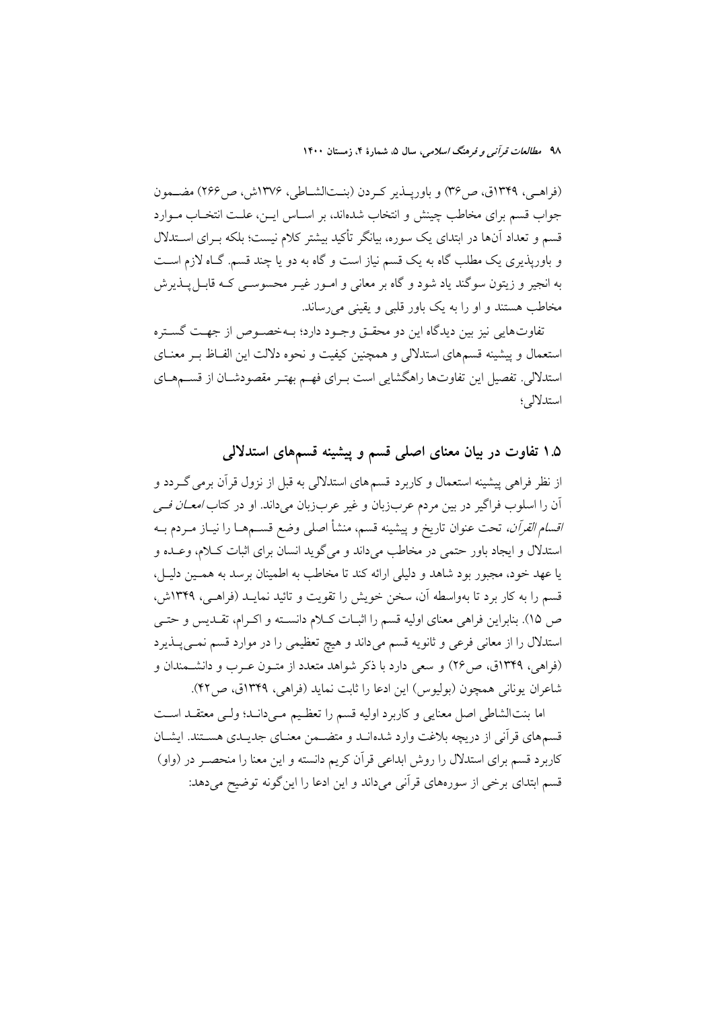(فراهـي، ١٣۴٩ق، ص٣۶) و باوريــذير كـردن (بنــتالشــاطي، ١٣٧۶ش، ص٢۶۶) مضــمون جواب قسم برای مخاطب چینش و انتخاب شدهاند، بر اسـاس ایــن، علــت انتخــاب مــوارد قسم و تعداد آنها در ابتدای یک سوره، بیانگر تأکید بیشتر کلام نیست؛ بلکه بـرای اسـتدلال و باورپذیری یک مطلب گاه به یک قسم نیاز است و گاه به دو یا چند قسم. گـاه لازم اسـت به انجیر و زیتون سوگند یاد شود و گاه بر معانی و امـور غیـر محسوســی کــه قابــل پــذیرش مخاطب هستند و او را به یک باور قلبی و یقینی می رساند.

تفاوتهايي نيز بين ديدگاه اين دو محقــق وجــود دارد؛ بــهخصــوص از جهــت گســتره استعمال و پیشینه قسمهای استدلالی و همچنین کیفیت و نحوه دلالت این الفـاظ بــر معنــای استدلالی. تفصیل این تفاوتها راهگشایی است بـرای فهـم بهتـر مقصودشــان از قســمهــای استدلالي؛

۱.۵ تفاوت در بیان معنای اصلی قسم و پیشینه قسمهای استدلالی

از نظر فراهی پیشینه استعمال و کاربرد قسمهای استدلالی به قبل از نزول قرآن برمی گــردد و اّن را اسلوب فراگیر در بین مردم عربزبان و غیر عربزبان می داند. او در کتا*ب امعــان فــی اقسام القرآن،* تحت عنوان تاريخ و پيشينه قسم، منشأ اصل<sub>ّى</sub> وضع قســمهــا را نيــاز مــردم بــه استدلال و ایجاد باور حتمی در مخاطب میداند و میگوید انسان برای اثبات کلام، وعـده و یا عهد خود، مجبور بود شاهد و دلیلی ارائه کند تا مخاطب به اطمینان برسد به همـین دلیـل، قسم را به کار برد تا بهواسطه آن، سخن خویش را تقویت و تائید نمایـد (فراهـی، ۱۳۴۹ش، ص ١٥). بنابراين فراهي معناي اوليه قسم را اثبـات كـلام دانسـته و اكـرام، تقــديس و حتــي استدلال را از معانی فرعی و ثانویه قسم میداند و هیچ تعظیمی را در موارد قسم نمـیپـذیرد (فراهی، ۱۳۴۹ق، ص۲۶) و سعی دارد با ذکر شواهد متعدد از متـون عـرب و دانشـمندان و شاعران يوناني همچون (بوليوس) اين ادعا را ثابت نمايد (فراهي، ١٣۴٩ق، ص٤٢).

اما بنتالشاطي اصل معنايي وكاربرد اوليه قسم را تعظيم مـيدانـد؛ ولـي معتقـد اسـت قسمهای قرآنی از دریچه بلاغت وارد شدهانــد و متضــمن معنــای جدیــدی هســتند. ایشــان کاربرد قسم برای استدلال را روش ابداعی قرآن کریم دانسته و این معنا را منحصـر در (واو) قسم ابتدای برخی از سورههای قرآنی میداند و این ادعا را این گونه توضیح می دهد: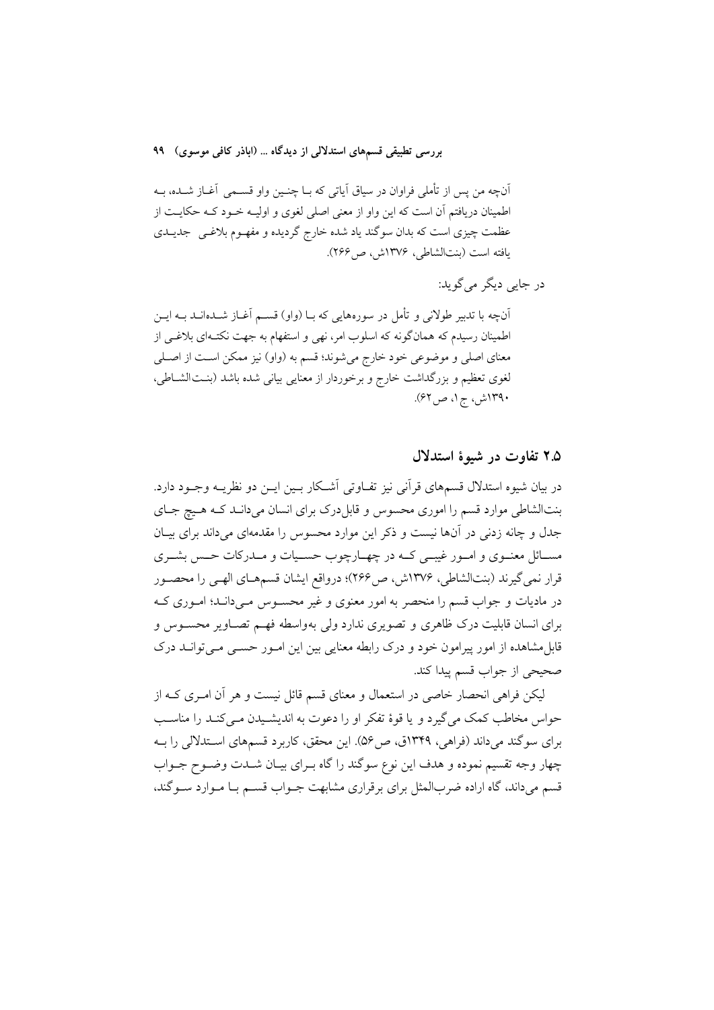آنچه من پس از تأملي فراوان در سياق آياتي كه بــا چنــين واو قســمي آغــاز شــده، بــه اطمینان دریافتم آن است که این واو از معنی اصلی لغوی و اولیـه خـود کـه حکایـت از عظمت چیزی است که بدان سوگند یاد شده خارج گردیده و مفهـوم بلاغـبی جدیــدی يافته است (بنتالشاطي، ١٣٧۶ش، ص ٢۶۶).

در جاپی دیگر می گوید:

آنچه با تدبیر طولانی و تأمل در سورههایی که بـا (واو) قســم آغــاز شــدهانــد بــه ایــن اطمینان رسیدم که همانگونه که اسلوب امر، نهی و استفهام به جهت نکتـهای بلاغـی از معنای اصلی و موضوعی خود خارج میشوند؛ قسم به (واو) نیز ممکن است از اصلی لغوی تعظیم و بزرگداشت خارج و برخوردار از معنایی بیانی شده باشد (بنتالشاطی، ۱۳۹۰ش، ج۱، ص۶۲).

۲.۵ تفاوت در شیوهٔ استدلال

در بيان شيوه استدلال قسمهاي قرأني نيز تفــاوتي أشــكار بــين ايــن دو نظريــه وجــود دارد. بنتالشاطی موارد قسم را اموری محسوس و قابل درک برای انسان میدانـد کـه هـيچ جـای جدل و چانه زدنی در آنها نیست و ذکر این موارد محسوس را مقدمهای میداند برای بیـان مســائل معنــوي و امــور غيبــي كــه در چهــارچوب حســيات و مــدركات حــس بشــري قرار نمی گیرند (بنتالشاطی، ۱۳۷۶ش، ص۲۶۶)؛ درواقع ایشان قسمهـای الهـی را محصـور در مادیات و جواب قسم را منحصر به امور معنوی و غیر محسـوس مـیدانـد؛ امـوری کـه برای انسان قابلیت درک ظاهری و تصویری ندارد ولی بهواسطه فهم تصـاویر محسـوس و قابل مشاهده از امور پیرامون خود و درک رابطه معنایی بین این امـور حســی مــی توانــد درک صحيحي از جواب قسم پيدا كند.

لیکن فراهی انحصار خاصی در استعمال و معنای قسم قائل نیست و هر آن امـری کــه از حواس مخاطب کمک می گیرد و یا قوهٔ تفکر او را دعوت به اندیشـیدن مـیکنـد را مناسـب برای سوگند می داند (فراهی، ۱۳۴۹ق، ص ۵۶). این محقق، کاربرد قسمهای استدلالی را بـه چهار وجه تقسیم نموده و هدف این نوع سوگند را گاه بـرای بیـان شــدت وضــوح جــواب قسم میداند، گاه اراده ضربالمثل برای برقراری مشابهت جـواب قسـم بـا مـوارد سـوگند،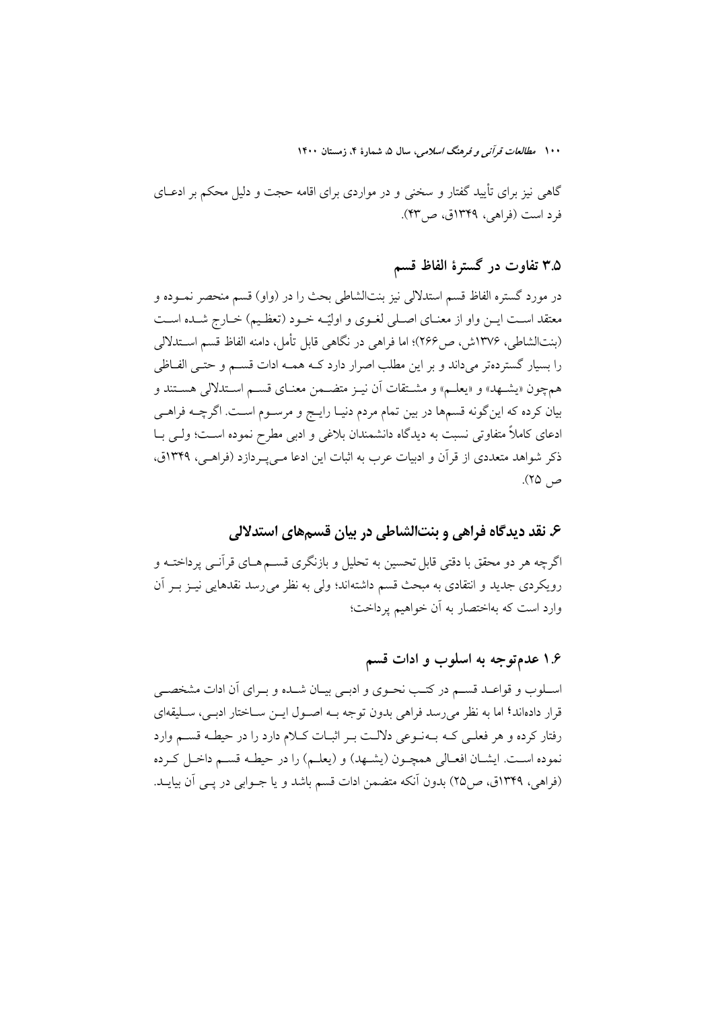گاهی نیز برای تأیید گفتار و سخنی و در مواردی برای اقامه حجت و دلیل محکم بر ادعــای فرد است (فراهی، ۱۳۴۹ق، ص۳۳).

### ۳.۵ تفاوت در گسترهٔ الفاظ قسم

در مورد گستره الفاظ قسم استدلالی نیز بنتالشاطی بحث را در (واو) قسم منحصر نمـوده و معتقد است ايـن واو از معنـاي اصـلي لغـوي و اوليّـه خـود (تعظـيم) خـارج شـده اسـت (بنتالشاطی، ۱۳۷۶ش، ص۲۶۶)؛ اما فراهی در نگاهی قابل تأمل، دامنه الفاظ قسم اســتدلالی را بسیار گستردهتر میداند و بر این مطلب اصرار دارد کـه همـه ادات قسـم و حتـی الفــاظی همچون «يشـهد» و «يعلـم» و مشـتقات أن نيـز متضـمن معنـاي قسـم اسـتدلالي هسـتند و بيان كرده كه اين گونه قسمها در بين تمام مردم دنيـا رايـج و مرسـوم اسـت. اگرچــه فراهـي ادعای کاملاً متفاوتی نسبت به دیدگاه دانشمندان بلاغی و ادبی مطرح نموده اسـت؛ ولـی بــا ذکر شواهد متعددی از قرآن و ادبیات عرب به اثبات این ادعا مـی پـردازد (فراهـی، ۱۳۴۹ق، ص ۲۵).

### ۶. نقد دیدگاه فراهی و بنتالشاطی در بیان قسمهای استدلالی

اگرچه هر دو محقق با دقتی قابل تحسین به تحلیل و بازنگری قســم هــای قرآنــی پرداختــه و رويكردي جديد و انتقادي به مبحث قسم داشتهاند؛ ولي به نظر مي رسد نقدهايي نيـز بـر آن وارد است که بهاختصار به آن خواهیم پرداخت؛

## ۱.۶ عدمتوجه به اسلوب و ادات قسم

اسـلوب و قواعـد قسـم در كتـب نحـوى و ادبـي بيـان شـده و بـراى أن ادات مشخصـي قرار دادهاند؟ اما به نظر میرسد فراهی بدون توجه بــه اصــول ایــن ســاختار ادبــی، ســليقهای رفتار كرده و هر فعلـي كـه بـهنـوعي دلالـت بـر اثبـات كـلام دارد را در حيطـه قسـم وارد نموده اسـت. ايشـان افعـالي همچـون (يشـهد) و (يعلـم) را در حيطـه قسـم داخـل كـرده (فراهی، ۱۳۴۹ق، ص۲۵) بدون آنکه متضمن ادات قسم باشد و یا جـوابی در یـی آن بیایــد.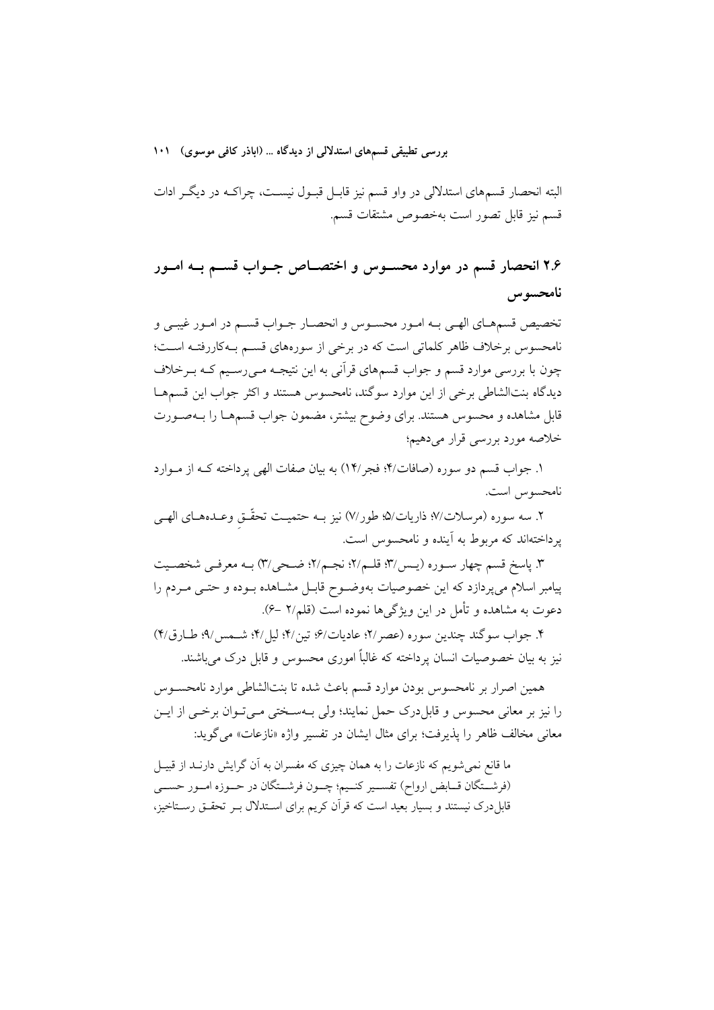البته انحصار قسمهای استدلالی در واو قسم نیز قابـل قبـول نیســت، چراکــه در دیگــر ادات قسم نيز قابل تصور است بهخصوص مشتقات قسم.

۲.۶ انحصار قسم در موارد محســوس و اختصــاص جــواب قســم بــه امــور نامحسوس

تخصيص قسمهـاي الهـي بـه امـور محسـوس و انحصـار جـواب قسـم در امـور غيبـي و .<br>نامحسوس برخلاف ظاهر کلماتی است که در برخی از سورههای قسم بـهکاررفتـه اسـت؛ چون با بررسی موارد قسم و جواب قسمهای قرآنی به این نتیجـه مـیرسـیم کـه بـرخلاف دیدگاه بنتالشاطی برخی از این موارد سوگند، نامحسوس هستند و اکثر جواب این قسمهـا قابل مشاهده و محسوس هستند. برای وضوح بیشتر، مضمون جواب قسمهـا را بــهصـورت خلاصه مورد بررسي قرار ميدهيم؛

۱. جواب قسم دو سوره (صافات/۴؛ فجر/۱۴) به بیان صفات الهی پرداخته کـه از مـوارد نامحسوس است.

٢. سه سوره (مرسلات/٧؛ ذاريات/٥؛ طور/٧) نيز بـه حتميـت تحقّـق وعـدههـاي الهـي پرداختهاند که مربوط به آینده و نامحسوس است.

٣. پاسخ قسم چهار سـوره (يـس/٣؛ قلـم/٢؛ نجـم/٢؛ ضـحي/٣) بـه معرفـي شخصـيت پیامبر اسلام می پردازد که این خصوصیات بهوضوح قابـل مشـاهده بـوده و حتـبی مـردم را دعوت به مشاهده و تأمل در این ویژگیها نموده است (قلم/۲ –۶).

۴. جواب سوگند چندين سوره (عصر ٢١؛ عاديات/۶؛ تين/۴؛ ليا /۴؛ شـمس /۹؛ طـار ق/۴) نیز به بیان خصوصیات انسان یرداخته که غالباً اموری محسوس و قابل درک می باشند.

همین اصرار بر نامحسوس بودن موارد قسم باعث شده تا بنتالشاطی موارد نامحســوس را نیز بر معانی محسوس و قابلدرک حمل نمایند؛ ولی بـهسـختی مـیتـوان برخـی از ایــن معانی مخالف ظاهر را پذیرفت؛ برای مثال ایشان در تفسیر واژه «نازعات» میگوید:

ما قانع نمی شویم که نازعات را به همان چیزی که مفسران به آن گرایش دارنــد از قبیــل (فرشــتگان قــابض ارواح) تفســير كنــيم؛ چــون فرشــتگان در حــوزه امــور حســي قابل درک نیستند و بسیار بعید است که قرآن کریم برای اسـتدلال بـر تحقـق رسـتاخیز،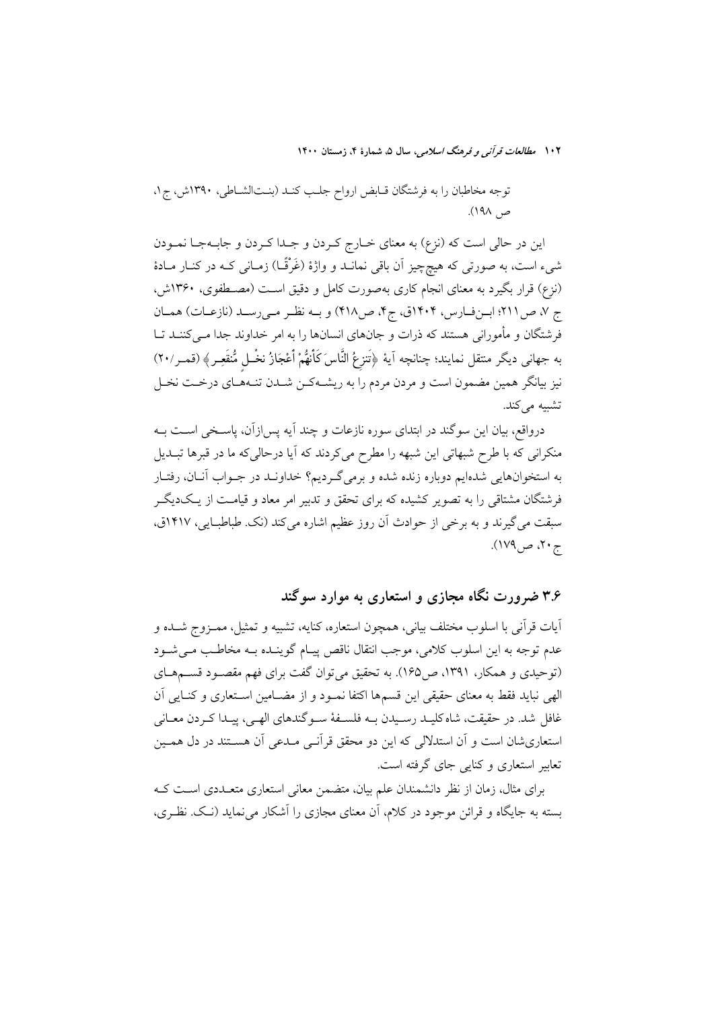توجه مخاطبان را به فرشتگان قـابض ارواح جلـب كنـد (بنـتالشـاطى، ١٣٩٠ش، ج١، ص ۱۹۸).

این در حالی است که (نزع) به معنای خــارج کــردن و جــدا کــردن و جابــهجــا نمــودن شیء است، به صورتی که هیچچیز آن باقی نمانــد و واژهٔ (غَرْقَــا) زمــانی کــه در کنــار مــادهٔ (نزِع) قرار بگیرد به معنای انجام کاری بهصورت کامل و دقیق اسـت (مصــطفوی، ۱۳۶۰ش، ج ٧، ص ٢١١؛ ابرزفارس، ١٤٠٢ق، ج۴، ص٣١٨) و بـه نظـر مـى رسـد (نازعـات) همـان فرشتگان و مأمورانی هستند که ذرات و جانهای انسانها را به امر خداوند جدا مـیکننـد تـا به جهاني ديگر منتقل نمايند؛ چنانچه اَيهٔ ﴿تَنزِعُ النَّاسَ كَأَنهُمْ أَعْجَازُ نخْـل مُّنقَعِـرٍ﴾ (قمـر/٢٠) نیز بیانگر همین مضمون است و مردن مردم را به ریشـهکـن شــدن تنـههـای درخــت نخــل تشبيه مي كند.

درواقع، بیان این سوگند در ابتدای سوره نازعات و چند آیه پس|زآن، پاسـخی اسـت بــه منکرانی که با طرح شبهاتی این شبهه را مطرح می کردند که آیا درحالی که ما در قبرها تبــدیل به استخوانهایی شدهایم دوباره زنده شده و برمیگردیم؟ خداونـد در جـواب آنـان، رفتـار فرشتگان مشتاقی را به تصویر کشیده که برای تحقق و تدبیر امر معاد و قیامت از یـکدیگـر سبقت می گیرند و به برخی از حوادث آن روز عظیم اشاره می کند (نک. طباطبایی، ۱۴۱۷ق، ج ۲۰، ص ۱۷۹).

۳.۶ ضرورت نگاه مجازی و استعاری به موارد سوگند

آيات قرآني با اسلوب مختلف بياني، همچون استعاره، كنايه، تشبيه و تمثيل، ممـزوج شــده و عدم توجه به این اسلوب کلامی، موجب انتقال ناقص پیـام گوینـده بـه مخاطـب مـی شـود (توحیدی و همکار، ۱۳۹۱، ص۱۶۵). به تحقیق می توان گفت برای فهم مقصود قسـمهـای الهي نبايد فقط به معناي حقيقي اين قسمها اكتفا نمـود و از مضـامين اسـتعاري و كنـايي أن غافل شد. در حقیقت، شاه کلیـد رسـیدن بـه فلسـفهٔ سـو گندهای الهـی، پیـدا کـردن معـانی استعاریشان است و آن استدلالی که این دو محقق قرآنـی مـدعی آن هســتند در دل همـین تعابیر استعاری و کنایی جای گرفته است.

برای مثال، زمان از نظر دانشمندان علم بیان، متضمن معانی استعاری متعـددی اسـت کـه بسته به جایگاه و قرائن موجود در کلام، آن معنای مجازی را آشکار می نماید (نـک. نظـری،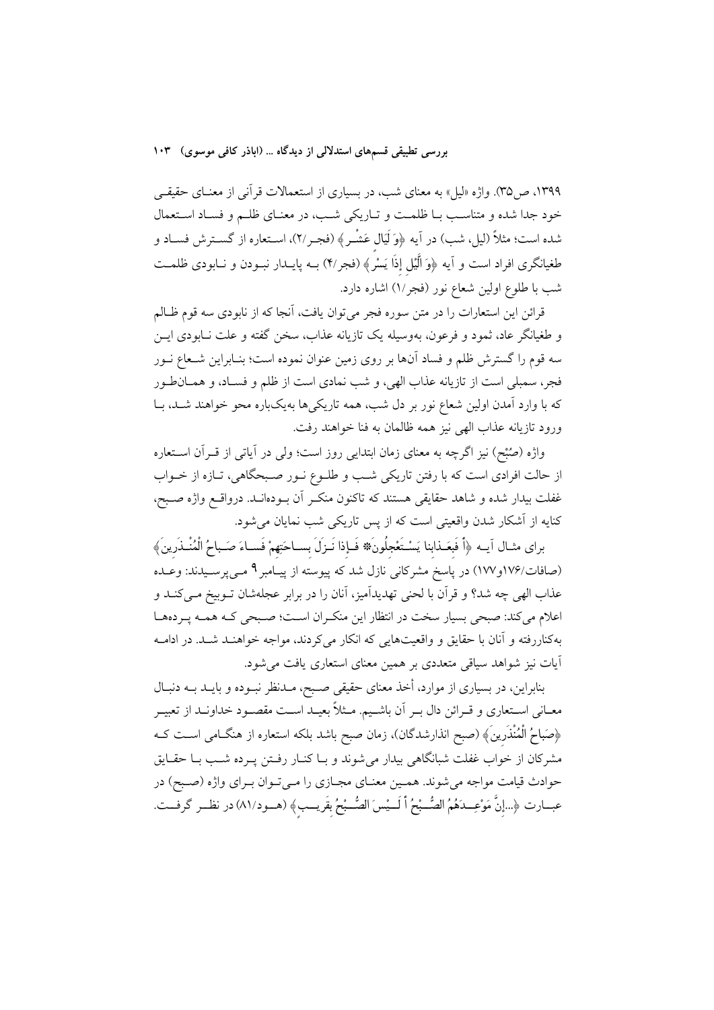۱۳۹۹، ص۳۵). واژه «لیل» به معنای شب، در بسیاری از استعمالات قرآنی از معنـای حقیقـی خود جدا شده و متناسب بـا ظلمـت و تـاريكي شـب، در معنـاي ظلـم و فسـاد اسـتعمال شده است؛ مثلاً (ليل، شب) در آيه ﴿وَلَيَالٍ عَشْرٍ ﴾ (فجـر/٢)، اسـتعاره از گسـترش فسـاد و طغیانگری افراد است و آیه ﴿وَ اَلَیْل إِذَا یَسْرُ﴾ (فجر/۴) بــه پایــدار نبــودن و نــابودی ظلمــت شب با طلوع اولین شعاع نور (فجر/۱) اشاره دارد.

قرائن این استعارات را در متن سوره فجر میٍتوان یافت، آنجا که از نابودی سه قوم ظـالم و طغیانگر عاد، ثمود و فرعون، بهوسیله یک تازیانه عذاب، سخن گفته و علت نــابودی ایــن سه قوم را گسترش ظلم و فساد آنها بر روی زمین عنوان نموده است؛ بنـابراین شـعاع نــور فجر، سمبلی است از تازیانه عذاب الهی، و شب نمادی است از ظلم و فسـاد، و همـانطـور که با وارد آمدن اولین شعاع نور بر دل شب، همه تاریکیها بهیکباره محو خواهند شـد، بـا ورود تازيانه عذاب الهي نيز همه ظالمان به فنا خواهند رفت.

واژه (صُبْح) نیز اگرچه به معنای زمان ابتدایی روز است؛ ولی در آیاتی از قــرآن اســتعاره از حالت افرادی است که با رفتن تاریکی شب و طلـوع نـور صـبحگاهی، تـازه از خـواب غفلت بیدار شده و شاهد حقایقی هستند که تاکنون منکـر آن بـودهانــد. درواقــع واژه صـبح، کنایه از آشکار شدن واقعیتی است که از پس تاریکی شب نمایان میشود.

براي مثـال آيــه ﴿أَ فَبِعَـذابنا يَسْـتَعْجِلُونَ﴾ فَإِذا نَـزلَ بِسـاحَتِهِمْ فَسـاءَ صَـباحُ الْمُنْـذَرينَ﴾ (صافات/۱۷۶و۱۱۷) در پاسخ مشرکانی نازل شد که پیوسته از پیـامبر ۹ مـیپرسـیدند: وعـده عذاب الهی چه شد؟ و قرآن با لحنی تهدیدآمیز، آنان را در برابر عجلهشان تــوبیخ مــیکنــد و اعلام میکند: صبحی بسیار سخت در انتظار این منکـران اسـت؛ صـبحی کـه همـه پـردههـا بهکناررفته و آنان با حقایق و واقعیتهایی که انکار میکردند، مواجه خواهنـد شـد. در ادامــه آیات نیز شواهد سیاقی متعددی بر همین معنای استعاری یافت می شود.

بنابراین، در بسیاری از موارد، أخذ معنای حقیقی صـبح، مــدنظر نبــوده و بایــد بــه دنبــال معــانی اســتعاری و قــرائن دال بــر اَن باشــيم. مــثلاً بعيــد اســت مقصــود خداونــد از تعبيــر ﴿صَباحُ الْمُنْذَرِينَ﴾ (صبح انذارشدگان)، زمان صبح باشد بلکه استعاره از هنگــامی اســت کــه مشرکان از خواب غفلت شبانگاهی بیدار میشوند و بـا کنـار رفـتن پـرده شـب بـا حقـایق حوادث قیامت مواجه می شوند. هممین معنای مجـازی را مـیتوان بـرای واژه (صـبح) در عبــارت ﴿...إِنَّ مَوْعِــدَهُمُ الصُّــْبِحُ أَ لَـــيْسَ الصُّــبْحُ بقَريــب﴾ (هــود/٨١) در نظــر گرفــت.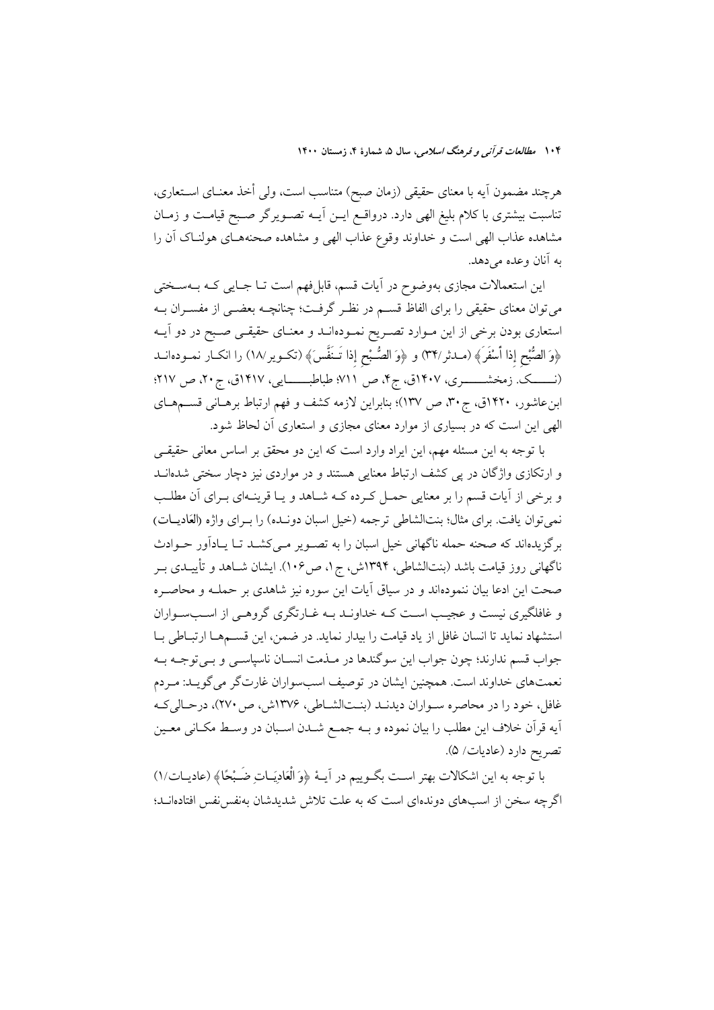هرچند مضمون آيه با معناى حقيقى (زمان صبح) متناسب است، ولى أخذ معنــاى اســتعارى، تناسبت بیشتری با کلام بلیغ الهی دارد. درواقع ایــن آیــه تصــویرگر صـبح قیامـت و زمــان مشاهده عذاب الهي است و خداوند وقوع عذاب الهي و مشاهده صحنههـاي هولنـاك أن را په آنان وعده مړ دهد.

این استعمالات مجازی بهوضوح در آیات قسم، قابلفهم است تـا جـایی کـه بــهسـختی میتوان معنای حقیقی را برای الفاظ قســم در نظــر گرفــت؛ چنانچــه بعضــی از مفســران بــه استعاری بودن برخی از این مـوارد تصـریح نمـودهانـد و معنـای حقیقـی صـبح در دو آیــه ﴿وَ الصُّبْحِ إذا أَسْفَرَ﴾ (مـدثر/٣٢) و ﴿وَ الصُّبْحِ إذا تَـنَفَّسَ﴾ (تكــوير/١٨) را انكــار نمــودهانــد (نـــــــک. زمخشـــــــــری، ۱۴۰۷ق، ج۴، ص ۷۱۱؛ طباطبــــــــایی، ۱۴۱۷ق، ج۲۰، ص ۲۱۷؛ ابن عاشور، ۱۴۲۰ق، ج۳۰، ص ۱۳۷)؛ بنابراین لازمه کشف و فهم ارتباط برهـانی قســمهـای الهی این است که در بسیاری از موارد معنای مجازی و استعاری آن لحاظ شود.

با توجه به این مسئله مهم، این ایراد وارد است که این دو محقق بر اساس معانی حقیقـی و ارتکازی واژگان در پی کشف ارتباط معنایی هستند و در مواردی نیز دچار سختی شدهانــد و برخی از آیات قسم را بر معنایی حمـل کـرده کــه شــاهد و یــا قرینــهای بــرای آن مطلــب نمي توان يافت. براي مثال؛ بنتالشاطي ترجمه (خيل اسبان دونـده) را بـراي واژه (العَاديــات) برگزیدهاند که صحنه حمله ناگهانی خیل اسبان را به تصـویر مـی کشـد تـا پـاداَور حـوادث ناگهانی روز قیامت باشد (بنتالشاطی، ۱۳۹۴ش، ج۱، ص۱۰۶). ایشان شــاهد و تأییــدی بــر صحت این ادعا بیان ننمودهاند و در سیاق آیات این سوره نیز شاهدی بر حملــه و محاصــره و غافلگیری نیست و عجیـب اسـت کـه خداونـد بـه غـارتگری گروهـی از اسـبسـواران استشهاد نماید تا انسان غافل از یاد قیامت را بیدار نماید. در ضمن، این قســمهــا ارتبــاطی بــا جواب قسم ندارند؛ چون جواب این سوگندها در مـذمت انسـان ناسیاسـی و بـی توجـه بـه نعمتهای خداوند است. همچنین ایشان در توصیف اسبسواران غارتگر می گویـد: مـردم غافل، خود را در محاصره سـواران ديدنـد (بنـتالشـاطي، ١٣٧۶ش، ص٢٧٠)، درحـاليكـه اّيه قراّن خلاف اين مطلب را بيان نموده و بــه جمــع شــدن اســبان در وســط مكــاني معــين تصريح دارد (عاديات/ ۵).

با توجه به این اشکالات بهتر اسـت بگــوییم در آیــهٔ ﴿وَ الْعَادِيَــاتِ ضَــْبْحًا﴾ (عادیــات/١) اگرچه سخن از اسبهای دوندهای است که به علت تلاش شدیدشان بهنفس نفس افتادهانــد؛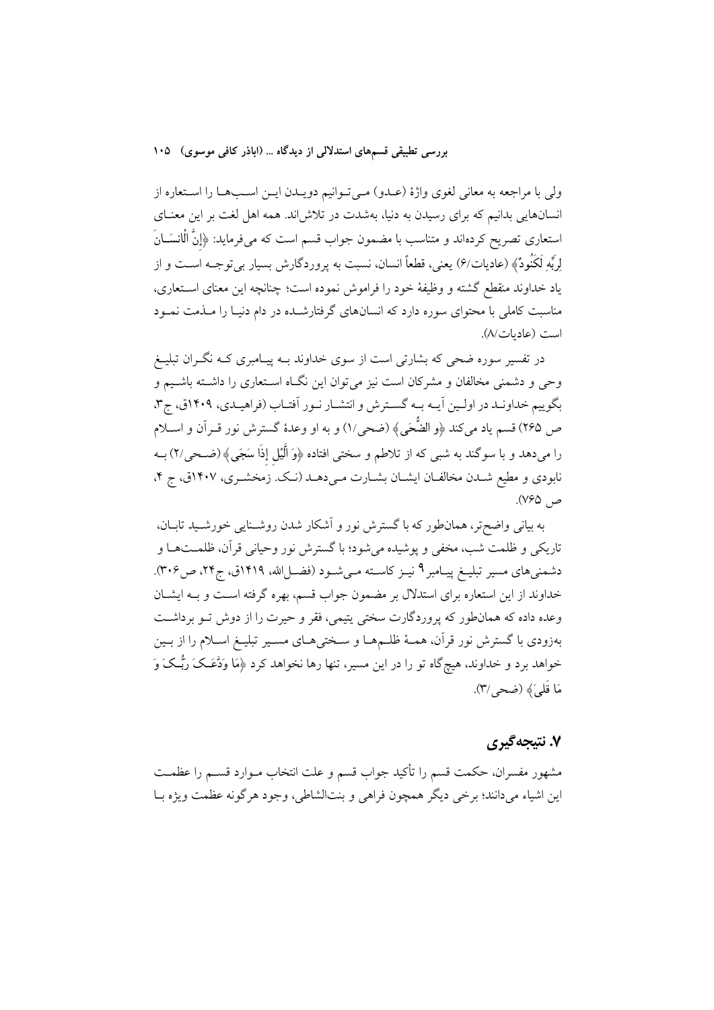ولي با مراجعه به معاني لغوي واژهٔ (عـدو) مـي تـوانيم دويـدن ايـن اسـبهـا را اسـتعاره از انسانهایی بدانیم که برای رسیدن به دنیا، بهشدت در تلاش(ند. همه اهل لغت بر این معنــای استعاری تصریح کردهاند و متناسب با مضمون جواب قسم است که میفرماید: ﴿إِنَّ الْانسَــانَ لِرَبِّهِ لَكَنُودٌ﴾ (عاديات/۶) يعني، قطعاً انسان، نسبت به يروردگارش بسيار بي توجــه اســت و از ياد خداوند منقطع گشته و وظيفهٔ خود را فراموش نموده است؛ چنانچه اين معناي اسـتعاري، مناسبت کاملی با محتوای سوره دارد که انسانهای گرفتارشـده در دام دنیـا را مــذمت نمــود است (عاديات/٨).

در تفسیر سوره ضحی که بشارتی است از سوی خداوند بــه پیــامبری کــه نگــران تبلیــغ وحی و دشمنی مخالفان و مشرکان است نیز میتوان این نگـاه اسـتعاری را داشـته باشـیم و بگوییم خداونـد در اولـین آیـه بـه گسـترش و انتشـار نـور اَفتـاب (فراهیـدي، ۱۴۰۹ق، ج۳، ص ٢۶۵) قسم ياد مىكند ﴿و الضُّحَى﴾ (ضحى/١) و به او وعدهٔ گسترش نور قــراَن و اســلام را می دهد و با سوگند به شبی که از تلاطم و سختی افتاده ﴿وَ أَلَيْلِ إِذَا سَجَى﴾ (ضـحی/۲) بــه نابودی و مطیع شـدن مخالفـان ایشــان بشــارت مــی(دهــد (نــک. زمخشــری، ۱۴۰۷ق، ج ۴، ص ۷۶۵).

به بیانی واضحتر، همانطور که با گسترش نور و اَشکار شدن روشــنایی خورشــید تابــان، .<br>تاریکی و ظلمت شب، مخفی و پوشیده می شود؛ با گسترش نور وحیانی قرآن، ظلمـتهـا و دشمنیهای مسیر تبلیـغ پیـامبر ۹ نیــز کاســته مــیشــود (فضــلالله، ۱۴۱۹ق، ج۲۴، ص۳۰۶). خداوند از این استعاره برای استدلال بر مضمون جواب قسم، بهره گرفته است و بـه ایشـان وعده داده که همانطور که پروردگارت سختی پتیمی، فقر و حیرت را از دوش تـو برداشـت بهزودی با گسترش نور قرآن، همـهٔ ظلــمهــا و ســختی۵ـای مســیر تبلیــغ اســلام را از بــین خواهد برد و خداوند، هیچگاه تو را در این مسیر، تنها رها نخواهد کرد ﴿مَا وَدَّعَـکَ رَبُّـکَ وَ مَا قَلِيَ ﴾ (ضحر /٣).

### ۷. نتىجەگىرى

مشهور مفسران، حکمت قسم را تأکید جواب قسم و علت انتخاب مــوارد قســم را عظمــت اين اشياء مي دانند؛ برخي ديگر همچون فراهي و بنتالشاطي، وجود هرگونه عظمت ويژه بــا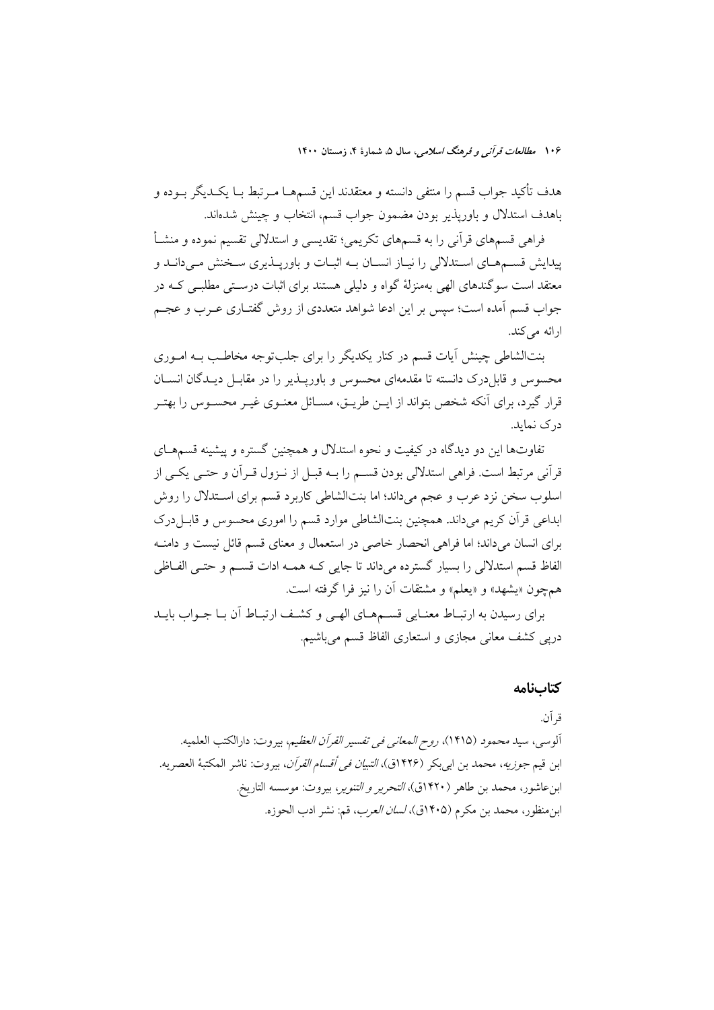هدف تأكيد جواب قسم را منتفى دانسته و معتقدند اين قسمهــا مــرتبط بــا يكــديگر بــوده و باهدف استدلال و باوريذير بودن مضمون جواب قسم، انتخاب و چينش شدهاند.

فراهی قسمهای قرآنی را به قسمهای تکریمی؛ تقدیسی و استدلالی تقسیم نموده و منشــأ پیدایش قسـمهـای اسـتدلالی را نیـاز انسـان بـه اثبـات و باوریـذیری سـخنش مـی دانـد و معتقد است سوگندهای الهی بهمنزلهٔ گواه و دلیلی هستند برای اثبات درسـتی مطلبـی کـه در جواب قسم آمده است؛ سیس بر این ادعا شواهد متعددی از روش گفتـاری عـرب و عجـم ارائه مے کند.

بنتالشاطی چینش آیات قسم در کنار یکدیگر را برای جلبتوجه مخاطب بـه امـوری محسوس و قابل درک دانسته تا مقدمهای محسوس و باوریــذیر را در مقابــل دیــدگان انســان قرار گیرد، برای آنکه شخص بتواند از این طریبق، مسائل معنیوی غیبر محسبوس را بهتبر در ک نماید.

تفاوتها این دو دیدگاه در کیفیت و نحوه استدلال و همچنین گستره و پیشینه قسمهـای قرآني مرتبط است. فراهي استدلالي بودن قسـم را بــه قبــل از نــزول قــراَن و حتــي يكــي از اسلوب سخن نزد عرب و عجم میداند؛ اما بنتالشاطی کاربرد قسم برای اسـتدلال را روش ابداعی قرآن کریم می داند. همچنین بنتالشاطی موارد قسم را اموری محسوس و قابـل درک برای انسان می داند؛ اما فراهی انحصار خاصی در استعمال و معنای قسم قائل نیست و دامنــه الفاظ قسم استدلالی را بسیار گسترده میداند تا جایی کـه همـه ادات قسـم و حتـی الفـاظی همچون «پشهد» و «پعلم» و مشتقات أن را نيز فرا گرفته است.

برای رسیدن به ارتبـاط معنـایی قسـمهـای الهـی و کشـف ارتبـاط أن بـا جـواب بایــد دریی کشف معانی مجازی و استعاری الفاظ قسم می باشیم.

#### كتابنامه

ق آن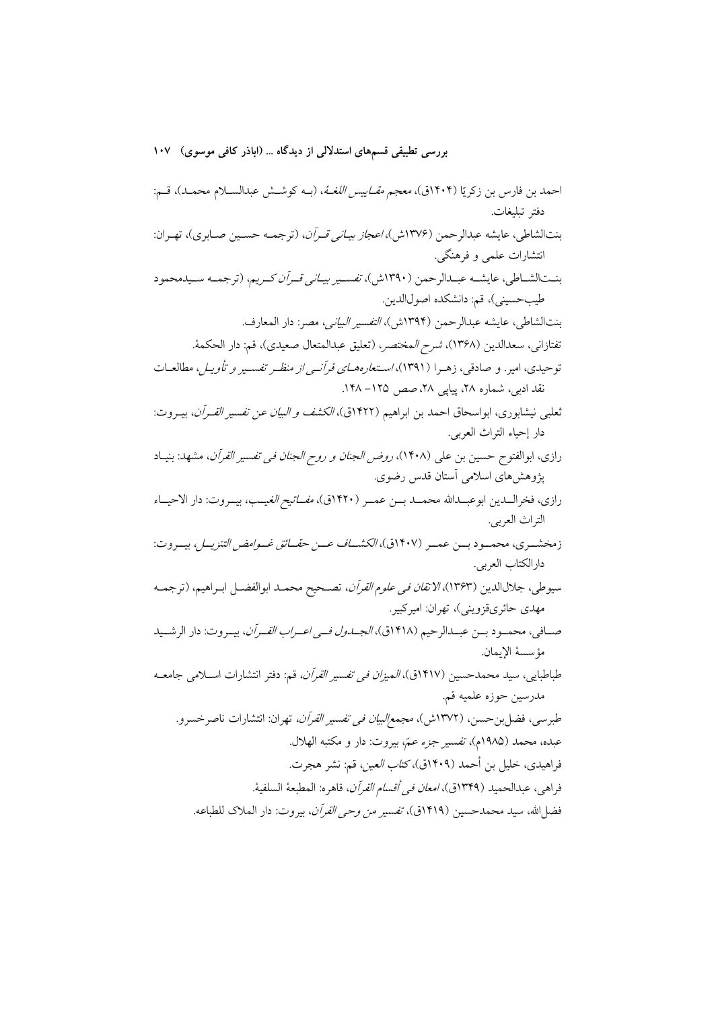احمد بن فارس بن زكريّا (۱۴۰۴ق)، *معجم مقـاييس اللغــهُ*، (بــه كوشــش عبدالســلام محمــد)، قــم: دفتر تبليغات. بنتالشاطي، عايشه عبدالرحمن (١٣٧۶ش)، *اعجاز بيـاني قـرآن*، (ترجمـه حسـين صـابري)، تهـران: انتشارات علمي و فرهنگي. بنتالشـاطي، عايشـه عبـدالرحمن (١٣٩٠ش)، *تفسـير بيـاني قـرآن كـريم*، (ترجمـه سـيدمحمود طيب حسيني)، قم: دانشكده اصولالدين. بنتالشاطي، عايشه عبدالرحمن (١٣٩٤ش)، *التفسير البياني، مص*ر: دار المعارف. تفتازاني، سعدالدين (١٣۶٨)، *شرح المختصر*، (تعليق عبدالمتعال صعيدي)، قم: دار الحكمة. توحیدی، امیر. و صادقی، زهـرا (۱۳۹۱)، *اسـتعارههـای قرآنـی از منظـر تفسـیر و تأویـل*، مطالعـات نقد ادبی، شماره ۲۸، پیایی ۲۸، صص ۱۲۵– ۱۴۸. ثعلبي نيشابوري، ابواسحاق احمد بن ابراهيم (١۴٢٢ق)، *الكشف و البيان عن تفسير القـرآن*، بيـروت: دار إحياء التراث العربي. رازي، ابوالفتوح حسين بن علي (١۴٠٨)، *روض الجنان و روح الجنان في تفسير القرآن*، مشهد: بنيـاد پژوهشهای اسلامی آستان قدس رضوی. رازي، فخرالــدين ابوعبــدالله محمــد بـــن عمــر (١۴٢٠ق)، *مفــاتيح الغي*ــب، بيــروت: دار الاحيــاء التراث العربي. زمخشــري، محمــود بـــن عمــر (١۴٠٧ق)، *الكشـــاف عـــن حقــائق غــوامض التنزيــل*، بيــروت: دارالكتاب العربي. سيوطي، جلالالدين (١٣۶٣)، *الاتقان في علوم القرآن*، تصـحيح محمـد ابوالفضــل ابــراهيم، (ترجمــه مهدي حائريقزويني)، تهران: اميركبير. صــافي، محمــود بــن عبــدالرحيم (١۴١٨ق)، *الجــدول فــي اعــراب القــران*، بيــروت: دار الرشــيد مؤسسة الإيمان. طباطبايي، سيد محمدحسين (١۴١٧ق)، *الميزان في تفسير القرآن،* قم: دفتر انتشارات اسـلامي جامعــه مدرسين حوزه علميه قم. طبرسي، فضل بن حسن، (١٣٧٢ش)، *مجمع البيان في تفسير القرآن،* تهران: انتشارات ناصر خسرو. عبده، محمد (١٩٨٥م)، تفسير جزء عمّ، بيروت: دار و مكتبه الهلال. فراهيدي، خليل بن أحمد (١۴٠٩ق)، *كتاب العين*، قم: نشر هجرت. فراهي، عبدالحميد (١٣۴٩ق)، *امعان في أقسام القرآن*، قاهره: المطبعة السلفية. فضل الله، سيد محمدحسين (١٤١٩ق)، *تفسير من وحي القرآن*، بيروت: دار الملاك للطباعه.